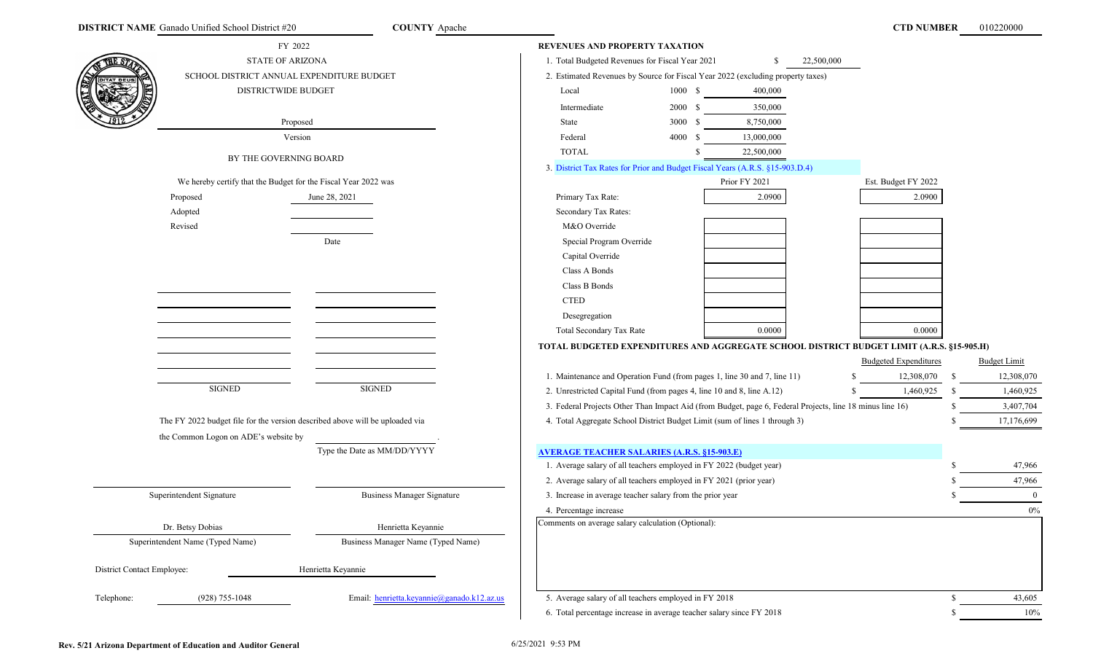|                            | FY 2022                                                                      |                                            | <b>REVENUES AND PROPERTY TAXATION</b>                                      |         |                                                                                                          |                                                                                           |               |                     |
|----------------------------|------------------------------------------------------------------------------|--------------------------------------------|----------------------------------------------------------------------------|---------|----------------------------------------------------------------------------------------------------------|-------------------------------------------------------------------------------------------|---------------|---------------------|
|                            | <b>STATE OF ARIZONA</b>                                                      |                                            | 1. Total Budgeted Revenues for Fiscal Year 2021                            |         | -S                                                                                                       | 22,500,000                                                                                |               |                     |
|                            | SCHOOL DISTRICT ANNUAL EXPENDITURE BUDGET                                    |                                            |                                                                            |         | 2. Estimated Revenues by Source for Fiscal Year 2022 (excluding property taxes)                          |                                                                                           |               |                     |
|                            | DISTRICTWIDE BUDGET                                                          |                                            | Local                                                                      | 1000 \$ | 400,000                                                                                                  |                                                                                           |               |                     |
|                            |                                                                              |                                            | Intermediate                                                               | 2000 \$ | 350,000                                                                                                  |                                                                                           |               |                     |
|                            |                                                                              | Proposed                                   | State                                                                      | 3000 \$ | 8,750,000                                                                                                |                                                                                           |               |                     |
|                            |                                                                              | Version                                    | Federal                                                                    | 4000 \$ | 13,000,000                                                                                               |                                                                                           |               |                     |
|                            |                                                                              |                                            | <b>TOTAL</b>                                                               |         | 22,500,000                                                                                               |                                                                                           |               |                     |
|                            | BY THE GOVERNING BOARD                                                       |                                            |                                                                            |         | 3. District Tax Rates for Prior and Budget Fiscal Years (A.R.S. §15-903.D.4)                             |                                                                                           |               |                     |
|                            | We hereby certify that the Budget for the Fiscal Year 2022 was               |                                            |                                                                            |         | Prior FY 2021                                                                                            | Est. Budget FY 2022                                                                       |               |                     |
|                            | Proposed                                                                     | June 28, 2021                              | Primary Tax Rate:                                                          |         | 2.0900                                                                                                   | 2.0900                                                                                    |               |                     |
|                            | Adopted                                                                      |                                            | Secondary Tax Rates:                                                       |         |                                                                                                          |                                                                                           |               |                     |
|                            | Revised                                                                      |                                            | M&O Override                                                               |         |                                                                                                          |                                                                                           |               |                     |
|                            |                                                                              | Date                                       | Special Program Override                                                   |         |                                                                                                          |                                                                                           |               |                     |
|                            |                                                                              |                                            | Capital Override                                                           |         |                                                                                                          |                                                                                           |               |                     |
|                            |                                                                              |                                            | Class A Bonds                                                              |         |                                                                                                          |                                                                                           |               |                     |
|                            |                                                                              |                                            | Class B Bonds                                                              |         |                                                                                                          |                                                                                           |               |                     |
|                            |                                                                              |                                            | <b>CTED</b>                                                                |         |                                                                                                          |                                                                                           |               |                     |
|                            |                                                                              |                                            | Desegregation                                                              |         |                                                                                                          |                                                                                           |               |                     |
|                            |                                                                              |                                            | Total Secondary Tax Rate                                                   |         | 0.0000                                                                                                   | 0.0000                                                                                    |               |                     |
|                            |                                                                              |                                            |                                                                            |         |                                                                                                          | TOTAL BUDGETED EXPENDITURES AND AGGREGATE SCHOOL DISTRICT BUDGET LIMIT (A.R.S. §15-905.H) |               |                     |
|                            |                                                                              |                                            |                                                                            |         |                                                                                                          | <b>Budgeted Expenditures</b>                                                              |               | <b>Budget Limit</b> |
|                            |                                                                              |                                            | 1. Maintenance and Operation Fund (from pages 1, line 30 and 7, line 11)   |         |                                                                                                          | 12,308,070                                                                                | -S            | 12,308,070          |
|                            | <b>SIGNED</b>                                                                | <b>SIGNED</b>                              | 2. Unrestricted Capital Fund (from pages 4, line 10 and 8, line A.12)      |         |                                                                                                          | 1,460,925                                                                                 | -S            | 1,460,925           |
|                            |                                                                              |                                            |                                                                            |         | 3. Federal Projects Other Than Impact Aid (from Budget, page 6, Federal Projects, line 18 minus line 16) |                                                                                           |               | 3,407,704           |
|                            | The FY 2022 budget file for the version described above will be uploaded via |                                            | 4. Total Aggregate School District Budget Limit (sum of lines 1 through 3) |         |                                                                                                          |                                                                                           |               | 17,176,699          |
|                            | the Common Logon on ADE's website by                                         |                                            |                                                                            |         |                                                                                                          |                                                                                           |               |                     |
|                            |                                                                              | Type the Date as MM/DD/YYYY                | <b>AVERAGE TEACHER SALARIES (A.R.S. §15-903.E)</b>                         |         |                                                                                                          |                                                                                           |               |                     |
|                            |                                                                              |                                            | 1. Average salary of all teachers employed in FY 2022 (budget year)        |         |                                                                                                          |                                                                                           |               | 47,966              |
|                            |                                                                              |                                            | 2. Average salary of all teachers employed in FY 2021 (prior year)         |         |                                                                                                          |                                                                                           |               | 47,966              |
|                            | Superintendent Signature                                                     | <b>Business Manager Signature</b>          | 3. Increase in average teacher salary from the prior year                  |         |                                                                                                          |                                                                                           |               | $\mathbf{0}$        |
|                            |                                                                              |                                            | 4. Percentage increase                                                     |         |                                                                                                          |                                                                                           |               | 0%                  |
|                            | Dr. Betsy Dobias                                                             | Henrietta Keyannie                         | Comments on average salary calculation (Optional):                         |         |                                                                                                          |                                                                                           |               |                     |
|                            | Superintendent Name (Typed Name)                                             | Business Manager Name (Typed Name)         |                                                                            |         |                                                                                                          |                                                                                           |               |                     |
|                            |                                                                              |                                            |                                                                            |         |                                                                                                          |                                                                                           |               |                     |
| District Contact Employee: |                                                                              | Henrietta Keyannie                         |                                                                            |         |                                                                                                          |                                                                                           |               |                     |
|                            |                                                                              |                                            |                                                                            |         |                                                                                                          |                                                                                           |               |                     |
| Telephone:                 | $(928)$ 755-1048                                                             | Email: henrietta.keyannie@ganado.k12.az.us | 5. Average salary of all teachers employed in FY 2018                      |         |                                                                                                          |                                                                                           | <sup>\$</sup> | 43,605              |
|                            |                                                                              |                                            | 6. Total percentage increase in average teacher salary since FY 2018       |         |                                                                                                          |                                                                                           | <sup>\$</sup> | $10\%$              |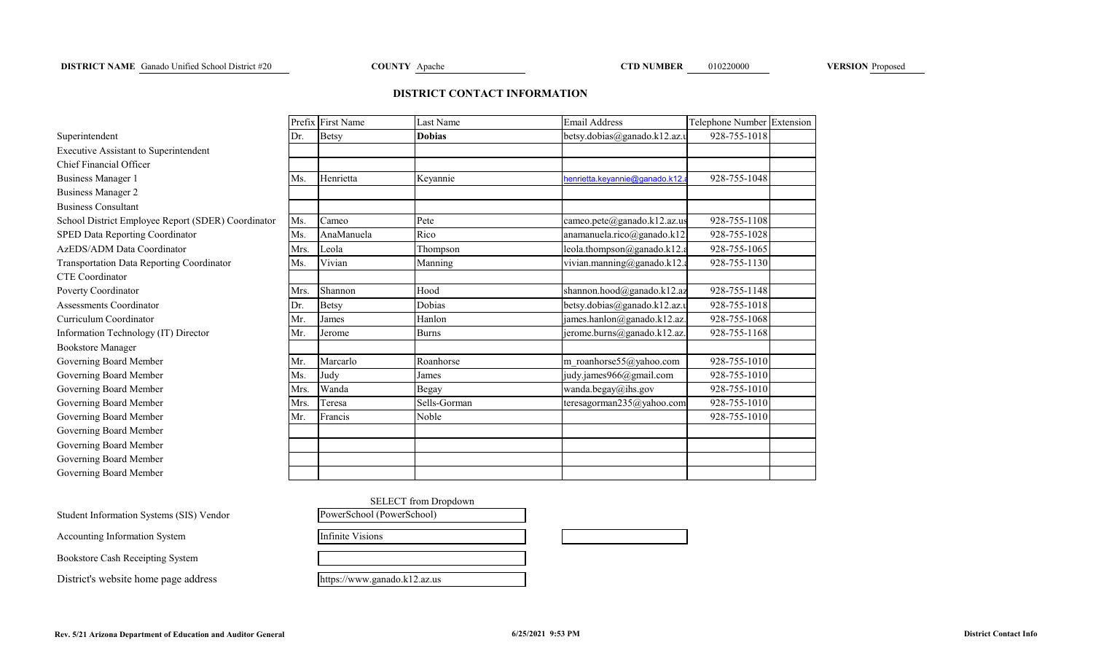# **DISTRICT CONTACT INFORMATION**

|                                                    |      | Prefix First Name | Last Name     | <b>Email Address</b>            | Telephone Number Extension |  |
|----------------------------------------------------|------|-------------------|---------------|---------------------------------|----------------------------|--|
| Superintendent                                     | Dr.  | <b>Betsy</b>      | <b>Dobias</b> | betsy.dobias@ganado.k12.az.u    | 928-755-1018               |  |
| Executive Assistant to Superintendent              |      |                   |               |                                 |                            |  |
| Chief Financial Officer                            |      |                   |               |                                 |                            |  |
| <b>Business Manager 1</b>                          | Ms.  | Henrietta         | Keyannie      | henrietta.keyannie@ganado.k12.a | 928-755-1048               |  |
| <b>Business Manager 2</b>                          |      |                   |               |                                 |                            |  |
| <b>Business Consultant</b>                         |      |                   |               |                                 |                            |  |
| School District Employee Report (SDER) Coordinator | Ms.  | Cameo             | Pete          | cameo.pete@ganado.k12.az.us     | 928-755-1108               |  |
| SPED Data Reporting Coordinator                    | Ms.  | AnaManuela        | Rico          | anamanuela.rico@ganado.k12.     | 928-755-1028               |  |
| AzEDS/ADM Data Coordinator                         | Mrs. | Leola             | Thompson      | leola.thompson@ganado.k12.a     | 928-755-1065               |  |
| Transportation Data Reporting Coordinator          | Ms.  | Vivian            | Manning       | vivian.manning@ganado.k12.a     | 928-755-1130               |  |
| CTE Coordinator                                    |      |                   |               |                                 |                            |  |
| Poverty Coordinator                                | Mrs. | Shannon           | Hood          | shannon.hood@ganado.k12.az      | 928-755-1148               |  |
| <b>Assessments Coordinator</b>                     | Dr.  | <b>Betsy</b>      | Dobias        | betsy.dobias@ganado.k12.az.u    | 928-755-1018               |  |
| Curriculum Coordinator                             | Mr.  | James             | Hanlon        | james.hanlon@ganado.k12.az.     | 928-755-1068               |  |
| Information Technology (IT) Director               | Mr.  | Jerome            | <b>Burns</b>  | jerome.burns@ganado.k12.az.     | 928-755-1168               |  |
| <b>Bookstore Manager</b>                           |      |                   |               |                                 |                            |  |
| Governing Board Member                             | Mr.  | Marcarlo          | Roanhorse     | m roanhorse55@yahoo.com         | 928-755-1010               |  |
| Governing Board Member                             | Ms.  | Judy              | James         | judy.james966@gmail.com         | 928-755-1010               |  |
| Governing Board Member                             | Mrs. | Wanda             | Begay         | wanda.begay@ihs.gov             | 928-755-1010               |  |
| Governing Board Member                             | Mrs. | Teresa            | Sells-Gorman  | teresagorman235@yahoo.com       | 928-755-1010               |  |
| Governing Board Member                             | Mr.  | Francis           | Noble         |                                 | 928-755-1010               |  |
| Governing Board Member                             |      |                   |               |                                 |                            |  |
| Governing Board Member                             |      |                   |               |                                 |                            |  |
| Governing Board Member                             |      |                   |               |                                 |                            |  |
| Governing Board Member                             |      |                   |               |                                 |                            |  |

| SELECT from Dropdown         |  |  |
|------------------------------|--|--|
| PowerSchool (PowerSchool)    |  |  |
| Infinite Visions             |  |  |
|                              |  |  |
| https://www.ganado.k12.az.us |  |  |

Student Information Systems (SIS) Vendor

Accounting Information System

Bookstore Cash Receipting System

District's website home page address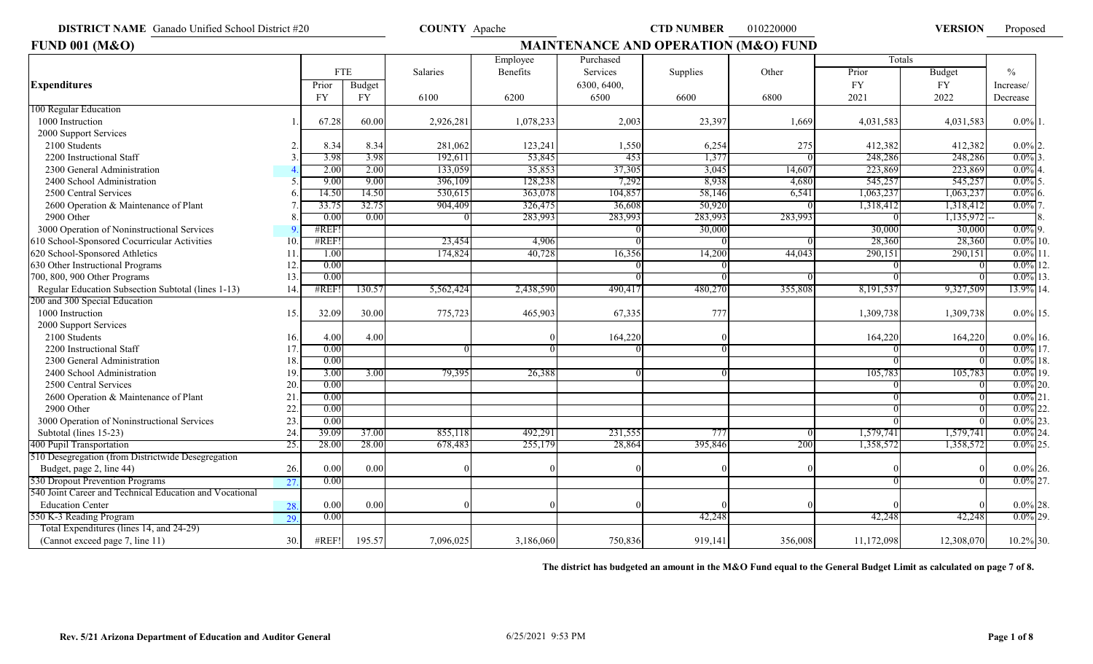**DISTRICT NAME** Ganado Unified School District #20 **COUNTY** Apache **COUNTY COUNTY Apache CTD NUMBER** 010220000 **VERSION FUND 001 (M&O)** *MAINTENANCE AND OPERATION (M&O) FUND* 

VERSION Proposed

| <b>FUND 001 (M&amp;O)</b>                               |     |           |            |           |           |             | <b>MAINTENANCE AND OPERATION (M&amp;O) FUND</b> |         |            |            |               |
|---------------------------------------------------------|-----|-----------|------------|-----------|-----------|-------------|-------------------------------------------------|---------|------------|------------|---------------|
|                                                         |     |           |            |           | Employee  | Purchased   |                                                 |         | Totals     |            |               |
|                                                         |     |           | <b>FTE</b> | Salaries  | Benefits  | Services    | Supplies                                        | Other   | Prior      | Budget     | $\frac{0}{0}$ |
| <b>Expenditures</b>                                     |     | Prior     | Budget     |           |           | 6300, 6400, |                                                 |         | <b>FY</b>  | <b>FY</b>  | Increase/     |
|                                                         |     | <b>FY</b> | <b>FY</b>  | 6100      | 6200      | 6500        | 6600                                            | 6800    | 2021       | 2022       | Decrease      |
| 100 Regular Education                                   |     |           |            |           |           |             |                                                 |         |            |            |               |
| 1000 Instruction                                        |     | 67.28     | 60.00      | 2,926,281 | 1,078,233 | 2,003       | 23,397                                          | 1,669   | 4,031,583  | 4,031,583  | $0.0\%$ 1.    |
| 2000 Support Services                                   |     |           |            |           |           |             |                                                 |         |            |            |               |
| 2100 Students                                           |     | 8.34      | 8.34       | 281,062   | 123,241   | 1,550       | 6,254                                           | 275     | 412,382    | 412,382    | $0.0\%$ 2.    |
| 2200 Instructional Staff                                |     | 3.98      | 3.98       | 192,611   | 53,845    | 453         | 1,377                                           |         | 248,286    | 248,286    | $0.0\%$ 3.    |
| 2300 General Administration                             |     | 2.00      | 2.00       | 133,059   | 35,853    | 37,305      | 3,045                                           | 14,607  | 223,869    | 223,869    | $0.0\%$       |
| 2400 School Administration                              |     | 9.00      | 9.00       | 396,109   | 128,238   | 7,292       | 8,938                                           | 4,680   | 545,257    | 545,257    | $0.0\%$ 5.    |
| 2500 Central Services                                   |     | 14.50     | 14.50      | 530,615   | 363,078   | 104,857     | 58,146                                          | 6,541   | 1,063,237  | 1,063,237  | $0.0\%$       |
| 2600 Operation & Maintenance of Plant                   |     | 33.75     | 32.75      | 904,409   | 326,475   | 36,608      | 50,920                                          |         | 1,318,412  | 1,318,412  | $0.0\%$       |
| 2900 Other                                              |     | 0.00      | 0.00       |           | 283,993   | 283,993     | 283,993                                         | 283,993 |            | 1,135,972  |               |
| 3000 Operation of Noninstructional Services             |     | #REF      |            |           |           |             | 30,000                                          |         | 30,000     | 30,000     | $0.0\%$ 9.    |
| 610 School-Sponsored Cocurricular Activities            | 10  | #REF!     |            | 23,454    | 4,906     |             |                                                 |         | 28,360     | 28,360     | $0.0\%$ 10.   |
| 620 School-Sponsored Athletics                          | 11  | 1.00      |            | 174,824   | 40,728    | 16,356      | 14,200                                          | 44,043  | 290,151    | 290,151    | $0.0\%$ 11    |
| 630 Other Instructional Programs                        | 12  | 0.00      |            |           |           |             |                                                 |         |            |            | $0.0\%$ 12.   |
| 700, 800, 900 Other Programs                            | 13  | 0.00      |            |           |           |             |                                                 |         |            |            | $0.0\%$ 13    |
| Regular Education Subsection Subtotal (lines 1-13)      | 14  | #REF      | 130.57     | 5,562,424 | 2,438,590 | 490,417     | 480,270                                         | 355,808 | 8,191,537  | 9,327,509  | 13.9% 14.     |
| 200 and 300 Special Education                           |     |           |            |           |           |             |                                                 |         |            |            |               |
| 1000 Instruction                                        | 15. | 32.09     | 30.00      | 775,723   | 465,903   | 67,335      | 77 <sub>1</sub>                                 |         | 1,309,738  | 1,309,738  | $0.0\%$ 15.   |
| 2000 Support Services                                   |     |           |            |           |           |             |                                                 |         |            |            |               |
| 2100 Students                                           | 16. | 4.00      | 4.00       |           |           | 164,220     |                                                 |         | 164,220    | 164,220    | $0.0\%$ 16.   |
| 2200 Instructional Staff                                | 17  | 0.00      |            |           |           |             |                                                 |         |            |            | $0.0\%$ 17.   |
| 2300 General Administration                             | 18  | 0.00      |            |           |           |             |                                                 |         |            |            | $0.0\%$ 18.   |
| 2400 School Administration                              | 19  | 3.00      | 3.00       | 79,395    | 26,388    |             |                                                 |         | 105,783    | 105,783    | $0.0\%$ 19.   |
| 2500 Central Services                                   | 20  | 0.00      |            |           |           |             |                                                 |         |            |            | $0.0\%$ 20.   |
| 2600 Operation & Maintenance of Plant                   | 21  | 0.00      |            |           |           |             |                                                 |         |            |            | $0.0\%$ 21    |
| 2900 Other                                              | 22  | 0.00      |            |           |           |             |                                                 |         |            |            | $0.0\%$       |
| 3000 Operation of Noninstructional Services             | 23  | 0.00      |            |           |           |             |                                                 |         |            |            | $0.0\%$ 23    |
| Subtotal (lines 15-23)                                  | 24  | 39.09     | 37.00      | 855,118   | 492,291   | 231,555     | 777                                             |         | 1,579,741  | 1,579,741  | $0.0\%$ 24    |
| 400 Pupil Transportation                                | 25. | 28.00     | 28.00      | 678,483   | 255,179   | 28,864      | 395,846                                         | 200     | 1,358,572  | 1,358,572  | $0.0\%$ 25    |
| 510 Desegregation (from Districtwide Desegregation      |     |           |            |           |           |             |                                                 |         |            |            |               |
| Budget, page 2, line 44)                                | 26. | 0.00      | 0.00       |           |           |             |                                                 |         |            |            | $0.0\%$ 26.   |
| 530 Dropout Prevention Programs                         | 27  | 0.00      |            |           |           |             |                                                 |         |            |            | $0.0\%$ 27.   |
| 540 Joint Career and Technical Education and Vocational |     |           |            |           |           |             |                                                 |         |            |            |               |
| <b>Education Center</b>                                 | 28  | 0.00      | 0.00       |           |           |             |                                                 |         |            |            | $0.0\%$ 28.   |
| 550 K-3 Reading Program                                 | 29. | 0.00      |            |           |           |             | 42,248                                          |         | 42,248     | 42,248     | $0.0\%$ 29.   |
| Total Expenditures (lines 14, and 24-29)                |     |           |            |           |           |             |                                                 |         |            |            |               |
| (Cannot exceed page 7, line 11)                         | 30. | #REF!     | 195.57     | 7,096,025 | 3,186,060 | 750,836     | 919,141                                         | 356,008 | 11,172,098 | 12,308,070 | 10.2% 30.     |

**The district has budgeted an amount in the M&O Fund equal to the General Budget Limit as calculated on page 7 of 8.**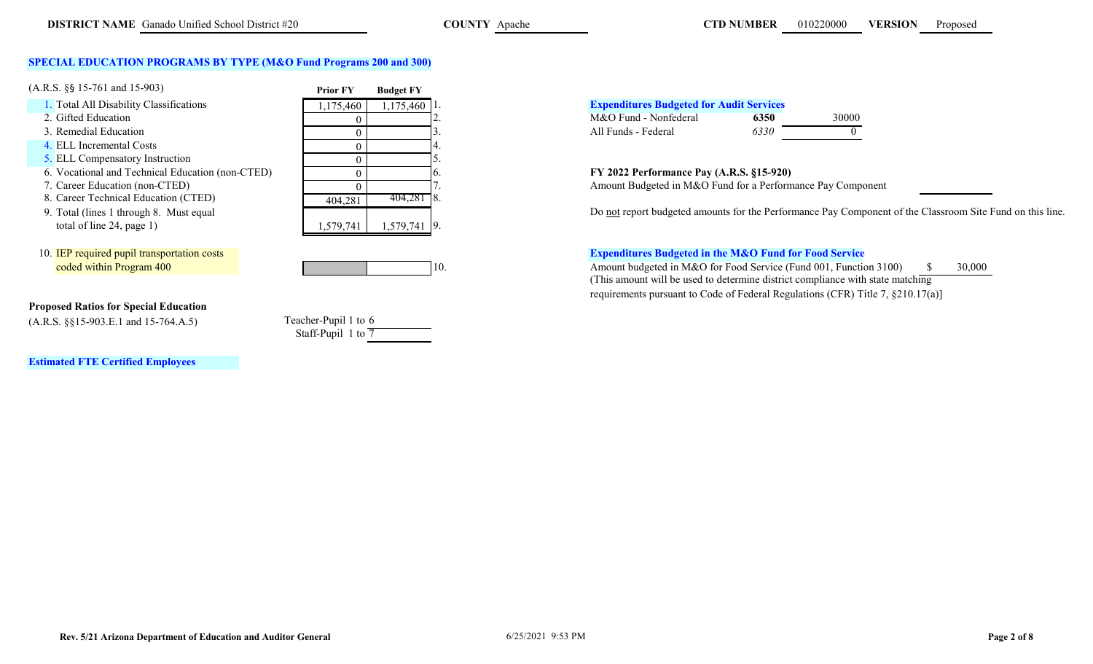# **SPECIAL EDUCATION PROGRAMS BY TYPE (M&O Fund Programs 200 and 300)**

| $(A.R.S. \S\$ 15-761 and 15-903)$                | <b>Prior FY</b> | <b>Budget FY</b> |                                                            |
|--------------------------------------------------|-----------------|------------------|------------------------------------------------------------|
| 1. Total All Disability Classifications          | ,175,460        | $1,175,460$   1. | <b>Expenditures Budgeted for Audit Services</b>            |
| 2. Gifted Education                              |                 |                  | M&O Fund - Nonfederal<br>30000<br>6350                     |
| 3. Remedial Education                            |                 |                  | 6330<br>All Funds - Federal                                |
| 4. ELL Incremental Costs                         |                 |                  |                                                            |
| 5. ELL Compensatory Instruction                  |                 |                  |                                                            |
| 6. Vocational and Technical Education (non-CTED) |                 |                  | FY 2022 Performance Pay (A.R.S. §15-920)                   |
| 7. Career Education (non-CTED)                   |                 |                  | Amount Budgeted in M&O Fund for a Performance Pay Comp     |
| 8. Career Technical Education (CTED)             | 404,281         | $404,281$ 8.     |                                                            |
| 9. Total (lines 1 through 8. Must equal          |                 |                  | Do not report budgeted amounts for the Performance Pay Com |
| total of line $24$ , page 1)                     | 1,579,741       | 1,579,741 9.     |                                                            |
|                                                  |                 |                  |                                                            |



# **Proposed Ratios for Special Education**

(A.R.S. §§15-903.E.1 and 15-764.A.5) Teacher-Pupil 1 to 6

Staff-Pupil 1 to  $\overline{7}$ 

**Estimated FTE Certified Employees**



7. Career Education (non-CTED) Amount Budgeted in M&O Fund for a Performance Pay Component 18.

Do not report budgeted amounts for the Performance Pay Component of the Classroom Site Fund on this line.

# 10. IEP required pupil transportation costs **Expenditures Budgeted in the M&O Fund for Food Service**

coded within Program 400 10. Amount budgeted in M&O for Food Service (Fund 001, Function 3100) \$ 30,000 (This amount will be used to determine district compliance with state matching requirements pursuant to Code of Federal Regulations (CFR) Title 7, §210.17(a)]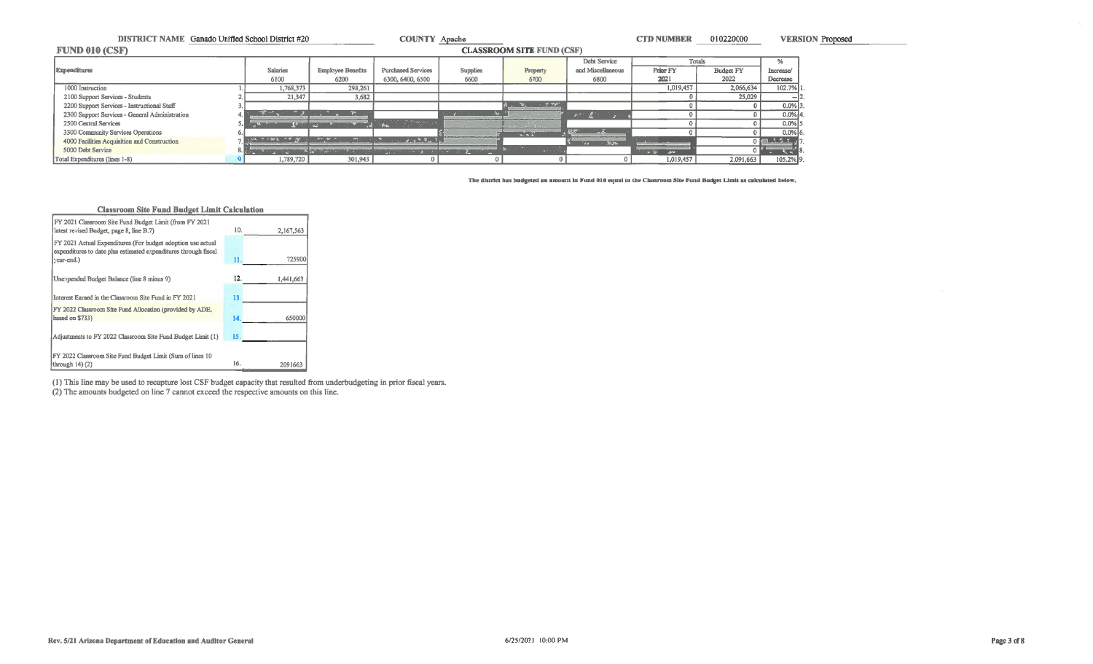| DISTRICT NAME Ganado Unified School District #20 |                 |                               | <b>COUNTY Apache</b>      |                                                                                                                    |                                  |                   | <b>CTD NUMBER</b>      | 010220000        |              | <b>VERSION Proposed</b> |
|--------------------------------------------------|-----------------|-------------------------------|---------------------------|--------------------------------------------------------------------------------------------------------------------|----------------------------------|-------------------|------------------------|------------------|--------------|-------------------------|
| FUND 010 (CSF)                                   |                 |                               |                           |                                                                                                                    | <b>CLASSROOM SITE FUND (CSF)</b> |                   |                        |                  |              |                         |
|                                                  |                 |                               |                           |                                                                                                                    |                                  | Debt Service      | Totals                 |                  | %            |                         |
| Expenditures                                     | <b>Salaries</b> | <b>Employee Benefits</b>      | <b>Purchased Services</b> | Supplies                                                                                                           | Property                         | and Miscellaneous | Prior FY               | <b>Budget FY</b> | Increase/    |                         |
|                                                  | 6100            | 6200                          | 6300, 6400, 6500          | 6600                                                                                                               | 6700                             | 6800              | 2021                   | 2022             | Decrease     |                         |
| 1000 Instruction                                 | 1,768,373       | 298,261                       |                           |                                                                                                                    |                                  |                   | 1,019,457              | 2,066,634        | $102.7\%$ 1. |                         |
| 2100 Support Services - Students                 | 21,347          | 3,682                         |                           |                                                                                                                    |                                  |                   |                        | 25,029           |              |                         |
| 2200 Support Services - Instructional Staff      |                 |                               |                           |                                                                                                                    | $\sim$ $7.79^{\circ}$            |                   |                        |                  | $0.0\%$ 3.   |                         |
| 2300 Support Services - General Administration   |                 |                               |                           |                                                                                                                    |                                  |                   |                        |                  | $0.0\%$ 4.   |                         |
| 2500 Central Services                            |                 |                               | - SSO STORY - 2012년 10월   |                                                                                                                    |                                  |                   |                        |                  | $0.0\%$ 5.   |                         |
| 3300 Community Services Operations               |                 |                               |                           |                                                                                                                    | 2.72                             | <b>Sec.</b>       |                        |                  | $0.0\%$ 6.   |                         |
| 4000 Facilities Acquisition and Construction     |                 | $m = m - 1$                   | <b>COMPARING TA</b>       |                                                                                                                    |                                  | <b>Jays</b>       |                        |                  | 0.5755       |                         |
| 5000 Debt Service                                |                 | <b>A WAS ARRESTED FOR THE</b> |                           | in the contract of the contract of the contract of the contract of the contract of the contract of the contract of |                                  |                   | <b><i>A 3 24 1</i></b> |                  | પર છે.       |                         |
| Total Expenditures (lines 1-8)                   | 1,789,720       | 301,943                       |                           |                                                                                                                    |                                  |                   | 1,019,457              | 2,091,663        | 105.2% 9.    |                         |

The district has budgeted an amount in Fund 010 equal to the Classroom Site Fund Budget Limit as calculated below.



(1) This line may be used to recapture lost CSF budget capacity that resulted from underbudgeting in prior fiscal years. (2) The amounts budgeted on line 7 cannot exceed the respective amounts on this line.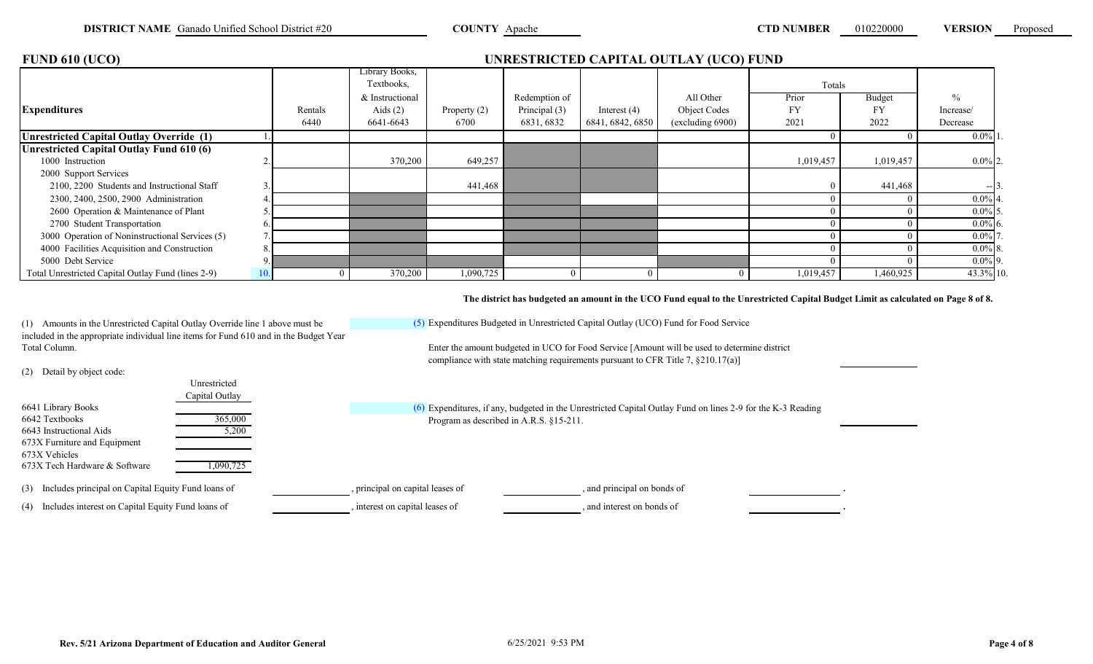| <b>FUND 610 (UCO)</b>                              |     |          |                              |                |               |                  | UNRESTRICTED CAPITAL OUTLAY (UCO) FUND |           |           |               |
|----------------------------------------------------|-----|----------|------------------------------|----------------|---------------|------------------|----------------------------------------|-----------|-----------|---------------|
|                                                    |     |          | Library Books,<br>Textbooks, |                |               |                  |                                        | Totals    |           |               |
|                                                    |     |          | & Instructional              |                | Redemption of |                  | All Other                              | Prior     | Budget    | $\frac{0}{0}$ |
| <b>Expenditures</b>                                |     | Rentals  | Aids $(2)$                   | Property $(2)$ | Principal (3) | Interest $(4)$   | Object Codes                           | FY        | FY        | Increase/     |
|                                                    |     | 6440     | 6641-6643                    | 6700           | 6831, 6832    | 6841, 6842, 6850 | (excluding 6900)                       | 2021      | 2022      | Decrease      |
| Unrestricted Capital Outlay Override (1)           |     |          |                              |                |               |                  |                                        |           |           | $0.0\%$ 1     |
| Unrestricted Capital Outlay Fund 610 (6)           |     |          |                              |                |               |                  |                                        |           |           |               |
| 1000 Instruction                                   |     |          | 370,200                      | 649,257        |               |                  |                                        | 1,019,457 | 1,019,457 | $0.0\%$ 2.    |
| 2000 Support Services                              |     |          |                              |                |               |                  |                                        |           |           |               |
| 2100, 2200 Students and Instructional Staff        |     |          |                              | 441,468        |               |                  |                                        |           | 441,468   | $-13.$        |
| 2300, 2400, 2500, 2900 Administration              |     |          |                              |                |               |                  |                                        |           |           | $0.0\%$ 4.    |
| 2600 Operation & Maintenance of Plant              |     |          |                              |                |               |                  |                                        |           |           | $0.0\%$ 5.    |
| 2700 Student Transportation                        |     |          |                              |                |               |                  |                                        |           |           | $0.0\%$ 6.    |
| 3000 Operation of Noninstructional Services (5)    |     |          |                              |                |               |                  |                                        |           |           | $0.0\%$ 7.    |
| 4000 Facilities Acquisition and Construction       |     |          |                              |                |               |                  |                                        |           |           | $0.0\%$ 8.    |
| 5000 Debt Service                                  |     |          |                              |                |               |                  |                                        |           |           | $0.0\%$ 9.    |
| Total Unrestricted Capital Outlay Fund (lines 2-9) | 10. | $\Omega$ | 370,200                      | 1,090,725      |               |                  |                                        | 1,019,457 | 1,460,925 | 43.3% 10.     |

**The district has budgeted an amount in the UCO Fund equal to the Unrestricted Capital Budget Limit as calculated on Page 8 of 8.**

(1) Amounts in the Unrestricted Capital Outlay Override line 1 above must be included in the appropriate individual line items for Fund 610 and in the Budget Year Total Column. Enter the amount budgeted in UCO for Food Service [Amount will be used to determine district

(5) Expenditures Budgeted in Unrestricted Capital Outlay (UCO) Fund for Food Service

compliance with state matching requirements pursuant to CFR Title 7, §210.17(a)]

(2) Detail by object code:

|                                                          | Unrestricted   |                                         |                                                                                                               |  |
|----------------------------------------------------------|----------------|-----------------------------------------|---------------------------------------------------------------------------------------------------------------|--|
|                                                          | Capital Outlay |                                         |                                                                                                               |  |
| 6641 Library Books                                       |                |                                         | $(6)$ Expenditures, if any, budgeted in the Unrestricted Capital Outlay Fund on lines 2-9 for the K-3 Reading |  |
| 6642 Textbooks                                           | 365,000        | Program as described in A.R.S. §15-211. |                                                                                                               |  |
| 6643 Instructional Aids                                  | 5,200          |                                         |                                                                                                               |  |
| 673X Furniture and Equipment                             |                |                                         |                                                                                                               |  |
| 673X Vehicles                                            |                |                                         |                                                                                                               |  |
| 673X Tech Hardware & Software                            | 1,090,725      |                                         |                                                                                                               |  |
|                                                          |                |                                         |                                                                                                               |  |
| (3) Includes principal on Capital Equity Fund loans of   |                | , principal on capital leases of        | , and principal on bonds of                                                                                   |  |
| Includes interest on Capital Equity Fund loans of<br>(4) |                | interest on capital leases of           | and interest on bonds of                                                                                      |  |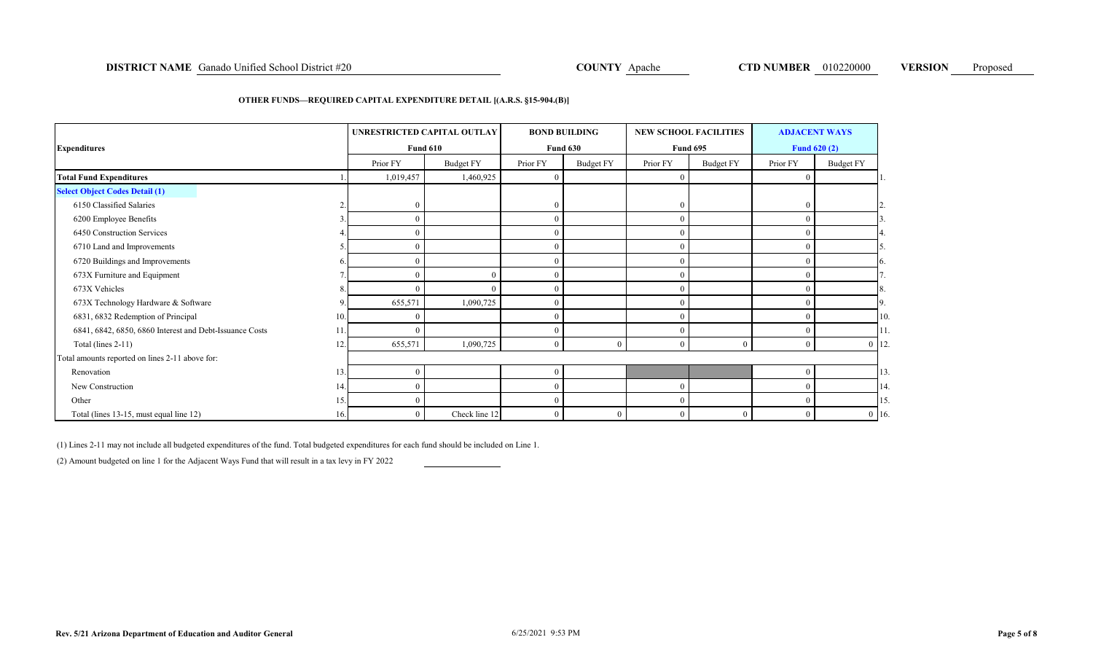# **DISTRICT NAME** Ganado Unified School District #20 **COUNTY Apache COUNTY Apache CTD NUMBER** 010220000 **VERSION** Proposed

### **OTHER FUNDS—REQUIRED CAPITAL EXPENDITURE DETAIL [(A.R.S. §15-904.(B)]**

| <b>Expenditures</b>                                     |     |            | UNRESTRICTED CAPITAL OUTLAY<br><b>BOND BUILDING</b><br><b>NEW SCHOOL FACILITIES</b><br><b>Fund 630</b><br><b>Fund 610</b><br><b>Fund 695</b> |          |           |                |           |                  | <b>ADJACENT WAYS</b><br><b>Fund 620 (2)</b> |           |
|---------------------------------------------------------|-----|------------|----------------------------------------------------------------------------------------------------------------------------------------------|----------|-----------|----------------|-----------|------------------|---------------------------------------------|-----------|
|                                                         |     | Prior FY   | <b>Budget FY</b>                                                                                                                             | Prior FY | Budget FY | Prior FY       | Budget FY | Prior FY         | <b>Budget FY</b>                            |           |
| <b>Total Fund Expenditures</b>                          |     | 1,019,457  | 1,460,925                                                                                                                                    |          |           | $\mathbf{0}$   |           | $\theta$         |                                             |           |
| <b>Select Object Codes Detail (1)</b>                   |     |            |                                                                                                                                              |          |           |                |           |                  |                                             |           |
| 6150 Classified Salaries                                |     | $\sqrt{ }$ |                                                                                                                                              |          |           | $\mathbf{0}$   |           | $\overline{0}$   |                                             |           |
| 6200 Employee Benefits                                  |     |            |                                                                                                                                              |          |           | $\overline{0}$ |           | $\Omega$         |                                             |           |
| 6450 Construction Services                              |     |            |                                                                                                                                              |          |           | $\Omega$       |           |                  |                                             |           |
| 6710 Land and Improvements                              |     |            |                                                                                                                                              |          |           | $\overline{0}$ |           | $\Omega$         |                                             |           |
| 6720 Buildings and Improvements                         |     |            |                                                                                                                                              |          |           | $\Omega$       |           |                  |                                             |           |
| 673X Furniture and Equipment                            |     |            | $\sqrt{ }$                                                                                                                                   |          |           | $\Omega$       |           | 0                |                                             |           |
| 673X Vehicles                                           |     |            |                                                                                                                                              |          |           | $\Omega$       |           |                  |                                             |           |
| 673X Technology Hardware & Software                     |     | 655,571    | 1,090,725                                                                                                                                    |          |           | $\overline{0}$ |           |                  |                                             |           |
| 6831, 6832 Redemption of Principal                      | 10. |            |                                                                                                                                              |          |           | $\Omega$       |           |                  |                                             | 10.       |
| 6841, 6842, 6850, 6860 Interest and Debt-Issuance Costs |     |            |                                                                                                                                              |          |           | $\Omega$       |           | $\theta$         |                                             | 11.       |
| Total (lines $2-11$ )                                   | 12  | 655,571    | 1,090,725                                                                                                                                    |          |           | $\theta$       | $\Omega$  | $\Omega$         |                                             | $0 \t12.$ |
| Total amounts reported on lines 2-11 above for:         |     |            |                                                                                                                                              |          |           |                |           |                  |                                             |           |
| Renovation                                              | 13. |            |                                                                                                                                              |          |           |                |           | $\theta$         |                                             | 13.       |
| New Construction                                        | 14. |            |                                                                                                                                              |          |           | $\overline{0}$ |           | $\theta$         |                                             | 14.       |
| Other                                                   | 15. |            |                                                                                                                                              |          |           | $\overline{0}$ |           | $\theta$         |                                             | 15.       |
| Total (lines 13-15, must equal line 12)                 | 16. |            | Check line 12                                                                                                                                |          |           | $\mathbf{0}$   | $\theta$  | $\boldsymbol{0}$ |                                             | $0 \t16$  |

(1) Lines 2-11 may not include all budgeted expenditures of the fund. Total budgeted expenditures for each fund should be included on Line 1.

(2) Amount budgeted on line 1 for the Adjacent Ways Fund that will result in a tax levy in FY 2022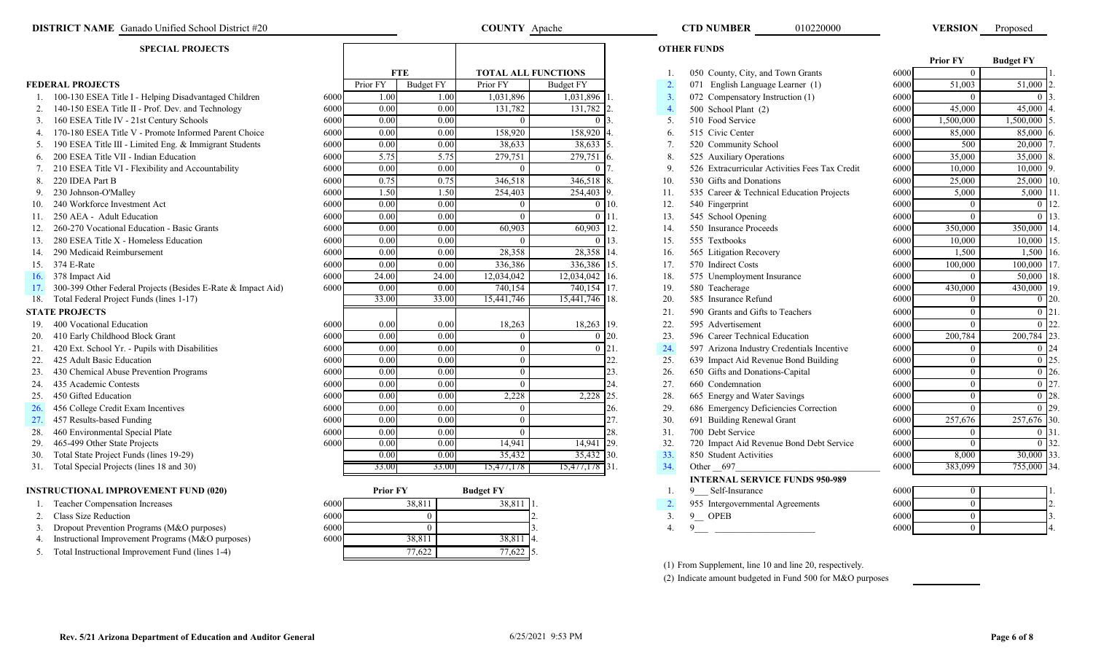| <b>SPECIAL PROJECTS</b> |                                                              |      |                 |                  |                  |                            |                    | <b>OTHER FUNDS</b> |                                                |      |                 |                  |  |
|-------------------------|--------------------------------------------------------------|------|-----------------|------------------|------------------|----------------------------|--------------------|--------------------|------------------------------------------------|------|-----------------|------------------|--|
|                         |                                                              |      |                 |                  |                  |                            |                    |                    |                                                |      | <b>Prior FY</b> | <b>Budget FY</b> |  |
|                         |                                                              |      |                 | <b>FTE</b>       |                  | <b>TOTAL ALL FUNCTIONS</b> |                    |                    | 050 County, City, and Town Grants              | 6000 | $\mathbf{0}$    |                  |  |
|                         | <b>FEDERAL PROJECTS</b>                                      |      | Prior FY        | <b>Budget FY</b> | Prior FY         | <b>Budget FY</b>           |                    | 2.                 | 071 English Language Learner (1)               | 6000 | 51,003          | 51,000           |  |
|                         | 1. 100-130 ESEA Title I - Helping Disadvantaged Children     | 6000 | 1.00            | 1.00             | 1,031,896        | 1,031,896                  |                    | 3.                 | 072 Compensatory Instruction (1)               | 6000 | $\Omega$        |                  |  |
|                         | 2. 140-150 ESEA Title II - Prof. Dev. and Technology         | 6000 | 0.00            | 0.00             | 131,782          | 131,782 2                  |                    | $\overline{4}$     | 500 School Plant (2)                           | 6000 | 45,000          | 45,000           |  |
|                         | 3. 160 ESEA Title IV - 21st Century Schools                  | 6000 | 0.00            | 0.00             | $\Omega$         |                            |                    | 5.                 | 510 Food Service                               | 6000 | 1,500,000       | 1,500,000        |  |
|                         | 4. 170-180 ESEA Title V - Promote Informed Parent Choice     | 6000 | 0.00            | 0.00             | 158,920          | 158,920                    |                    | 6.                 | 515 Civic Center                               | 6000 | 85,000          | 85,000           |  |
|                         | 5. 190 ESEA Title III - Limited Eng. & Immigrant Students    | 6000 | 0.00            | 0.00             | 38,633           | 38,633                     |                    | 7.                 | 520 Community School                           | 6000 | 500             | 20,000           |  |
| 6.                      | 200 ESEA Title VII - Indian Education                        | 6000 | 5.75            | 5.75             | 279,751          | 279,751                    |                    | 8.                 | 525 Auxiliary Operations                       | 6000 | 35,000          | 35,000           |  |
|                         | 210 ESEA Title VI - Flexibility and Accountability           | 6000 | 0.00            | 0.00             | $\Omega$         |                            |                    | 9                  | 526 Extracurricular Activities Fees Tax Credit | 6000 | 10,000          | 10,000           |  |
| 8.                      | 220 IDEA Part B                                              | 6000 | 0.75            | 0.75             | 346,518          | 346,518                    |                    | 10.                | 530 Gifts and Donations                        | 6000 | 25,000          | 25,000           |  |
|                         | 230 Johnson-O'Malley                                         | 6000 | 1.50            | 1.50             | 254,403          | 254,403                    |                    | 11.                | 535 Career & Technical Education Projects      | 6000 | 5,000           | 5,000            |  |
| 10.                     | 240 Workforce Investment Act                                 | 6000 | 0.00            | 0.00             | $\Omega$         |                            | $0\,110.$          | 12.                | 540 Fingerprint                                | 6000 | $\Omega$        |                  |  |
|                         | 250 AEA - Adult Education                                    | 6000 | 0.00            | 0.00             | $\Omega$         |                            | $0 \; 11.$         | 13.                | 545 School Opening                             | 6000 | $\theta$        |                  |  |
| 12.                     | 260-270 Vocational Education - Basic Grants                  | 6000 | 0.00            | 0.00             | 60,903           | 60,903 12.                 |                    | 14.                | 550 Insurance Proceeds                         | 6000 | 350,000         | 350,000 14       |  |
| 13.                     | 280 ESEA Title X - Homeless Education                        | 6000 | 0.00            | 0.00             | $\theta$         |                            | $0 \vert 13.$      | 15.                | 555 Textbooks                                  | 6000 | 10,000          | 10,000           |  |
| 14.                     | 290 Medicaid Reimbursement                                   | 6000 | 0.00            | 0.00             | 28,358           | 28,358 14.                 |                    | 16.                | 565 Litigation Recovery                        | 6000 | 1,500           | 1,500            |  |
| 15.                     | 374 E-Rate                                                   | 6000 | 0.00            | 0.00             | 336,386          | 336,386 15.                |                    | 17.                | 570 Indirect Costs                             | 6000 | 100,000         | 100,000          |  |
| 16.                     | 378 Impact Aid                                               | 6000 | 24.00           | 24.00            | 12,034,042       | 12,034,042 16.             |                    | 18.                | 575 Unemployment Insurance                     | 6000 | $\theta$        | 50,000           |  |
| 17.                     | 300-399 Other Federal Projects (Besides E-Rate & Impact Aid) | 6000 | 0.00            | 0.00             | 740,154          | 740,154 17.                |                    | 19.                | 580 Teacherage                                 | 6000 | 430,000         | 430,000          |  |
| 18.                     | Total Federal Project Funds (lines 1-17)                     |      | 33.00           | 33.00            | 15,441,746       | 15,441,746 18.             |                    | 20.                | 585 Insurance Refund                           | 6000 | $\Omega$        |                  |  |
|                         | <b>STATE PROJECTS</b>                                        |      |                 |                  |                  |                            |                    | 21.                | 590 Grants and Gifts to Teachers               | 6000 | $\theta$        |                  |  |
| 19.                     | 400 Vocational Education                                     | 6000 | 0.00            | 0.00             | 18,263           | 18,263 19.                 |                    | 22.                | 595 Advertisement                              | 6000 | $\theta$        |                  |  |
| 20.                     | 410 Early Childhood Block Grant                              | 6000 | 0.00            | 0.00             | $\theta$         |                            | $\overline{0}$ 20. | 23.                | 596 Career Technical Education                 | 6000 | 200,784         | 200,784          |  |
| 21.                     | 420 Ext. School Yr. - Pupils with Disabilities               | 6000 | 0.00            | 0.00             | $\overline{0}$   |                            | $0 \; 21.$         | 24.                | 597 Arizona Industry Credentials Incentive     | 6000 | $\overline{0}$  |                  |  |
| 22.                     | 425 Adult Basic Education                                    | 6000 | 0.00            | 0.00             | $\theta$         |                            | 22.                | 25.                | 639 Impact Aid Revenue Bond Building           | 6000 | $\overline{0}$  |                  |  |
| 23.                     | 430 Chemical Abuse Prevention Programs                       | 6000 | 0.00            | 0.00             | $\theta$         |                            | 23.                | 26.                | 650 Gifts and Donations-Capital                | 6000 | $\theta$        | 0.126            |  |
| 24.                     | 435 Academic Contests                                        | 6000 | 0.00            | 0.00             | $\Omega$         |                            | 24.                | 27.                | 660 Condemnation                               | 6000 | $\theta$        | 0.127            |  |
| 25.                     | 450 Gifted Education                                         | 6000 | 0.00            | 0.00             | 2,228            | 2,228                      | 25.                | 28.                | 665 Energy and Water Savings                   | 6000 | $\theta$        |                  |  |
| 26.                     | 456 College Credit Exam Incentives                           | 6000 | 0.00            | 0.00             | $\Omega$         |                            | 26.                | 29.                | 686 Emergency Deficiencies Correction          | 6000 | $\theta$        |                  |  |
| 27.                     | 457 Results-based Funding                                    | 6000 | 0.00            | 0.00             | $\theta$         |                            | 27.                | 30.                | 691 Building Renewal Grant                     | 6000 | 257,676         | 257,676          |  |
| 28.                     | 460 Environmental Special Plate                              | 6000 | 0.00            | 0.00             | $\theta$         |                            | 28.                | 31.                | 700 Debt Service                               | 6000 | $\theta$        | $\Omega$         |  |
| 29.                     | 465-499 Other State Projects                                 | 6000 | 0.00            | 0.00             | 14,941           | 14,941                     | $\mathsf{I}29.$    | 32.                | 720 Impact Aid Revenue Bond Debt Service       | 6000 | $\mathbf{0}$    |                  |  |
| 30.                     | Total State Project Funds (lines 19-29)                      |      | 0.00            | 0.00             | 35,432           | 35,432 30.                 |                    | 33.                | 850 Student Activities                         | 6000 | 8,000           | 30,000 33        |  |
|                         | 31. Total Special Projects (lines 18 and 30)                 |      | 33.00           | 33.00            | 15,477,178       | 15,477,178 31.             |                    | 34.                | Other 697                                      | 6000 | 383,099         | 755,000 34       |  |
|                         |                                                              |      |                 |                  |                  |                            |                    |                    | <b>INTERNAL SERVICE FUNDS 950-989</b>          |      |                 |                  |  |
|                         | <b>INSTRUCTIONAL IMPROVEMENT FUND (020)</b>                  |      | <b>Prior FY</b> |                  | <b>Budget FY</b> |                            |                    |                    | 9 Self-Insurance                               | 6000 | $\theta$        |                  |  |
|                         | Teacher Compensation Increases                               | 6000 |                 | 38,811           | 38,811           |                            |                    |                    | 955 Intergovernmental Agreements               | 6000 | $\theta$        |                  |  |
|                         | Class Size Reduction                                         | 6000 |                 | $\Omega$         |                  |                            |                    | 3.                 | 9<br><b>OPEB</b>                               | 6000 | $\theta$        |                  |  |

0

38,811 38,811

| $\sim$<br>Z. |  | Class Size Reduction |
|--------------|--|----------------------|
|              |  |                      |

- 3. Dropout Prevention Programs (M&O purposes) 6000 6000 6000 6000 38,811 3. 4. 9<br>4. Instructional Improvement Programs (M&O purposes) 6000 38,811 38,811 4.
- 4. Instructional Improvement Programs (M&O purposes) 6000 6000 38,811 38,811
- 5. Total Instructional Improvement Fund (lines 1-4) 77,622

|                                                              |      |                   |          |                        | $ -$           |                    |     |                                                |      | $-1, -1$  | . . ,     |  |
|--------------------------------------------------------------|------|-------------------|----------|------------------------|----------------|--------------------|-----|------------------------------------------------|------|-----------|-----------|--|
| 100-130 ESEA Title I - Helping Disadvantaged Children        | 6000 | 1.00              |          | 1,031,896<br>1.00      | 1,031,896      |                    | 3.  | 072 Compensatory Instruction (1)               | 6000 |           | $\Omega$  |  |
| 140-150 ESEA Title II - Prof. Dev. and Technology            | 6000 | 0.00              |          | 0.00<br>131,782        | 131,782        |                    |     | 500 School Plant (2)                           | 6000 | 45,000    | 45,000    |  |
| 160 ESEA Title IV - 21st Century Schools                     | 6000 | 0.00              |          | 0.00<br>$\Omega$       | $\Omega$       |                    | 5.  | 510 Food Service                               | 6000 | 1,500,000 | 1,500,000 |  |
| 170-180 ESEA Title V - Promote Informed Parent Choice        | 6000 | 0.00              |          | 0.00<br>158,920        | 158,920        |                    | 6.  | 515 Civic Center                               | 6000 | 85,000    | 85,000    |  |
| 190 ESEA Title III - Limited Eng. & Immigrant Students       | 6000 | $\overline{0.00}$ |          | 0.00<br>38,633         | 38,633         |                    | 7.  | 520 Community School                           | 6000 | 500       | 20,000    |  |
| 200 ESEA Title VII - Indian Education                        | 6000 | 5.75              |          | 5.75<br>279,751        | 279,751        |                    | 8.  | 525 Auxiliary Operations                       | 6000 | 35,000    | 35,000    |  |
| 210 ESEA Title VI - Flexibility and Accountability           | 6000 | 0.00              |          | 0.00<br>$\Omega$       | $\Omega$       |                    | 9.  | 526 Extracurricular Activities Fees Tax Credit | 6000 | 10,000    | 10,000    |  |
| 220 IDEA Part B                                              | 6000 | 0.75              |          | 0.75<br>346,518        | 346,518        |                    | 10. | 530 Gifts and Donations                        | 6000 | 25,000    | 25,000    |  |
| 230 Johnson-O'Malley                                         | 6000 | 1.50              |          | 1.50<br>254,403        | 254,403        |                    | 11. | 535 Career & Technical Education Projects      | 6000 | 5,000     | 5,000     |  |
| 240 Workforce Investment Act                                 | 6000 | 0.00              |          | 0.00<br>$\overline{0}$ |                | 10.                | 12. | 540 Fingerprint                                | 6000 |           |           |  |
| 250 AEA - Adult Education                                    | 6000 | 0.00              |          | 0.00<br>$\Omega$       | $\Omega$       |                    | 13. | 545 School Opening                             | 6000 |           |           |  |
| 260-270 Vocational Education - Basic Grants                  | 6000 | 0.00              |          | 0.00<br>60,903         | 60,903 12.     |                    | 14. | 550 Insurance Proceeds                         | 6000 | 350,000   | 350,000   |  |
| 280 ESEA Title X - Homeless Education                        | 6000 | 0.00              |          | 0.00<br>$\Omega$       |                | 13.                | 15. | 555 Textbooks                                  | 6000 | 10,000    | 10,000    |  |
| 290 Medicaid Reimbursement                                   | 6000 | 0.00              |          | 0.00<br>28,358         | 28,358 14.     |                    | 16. | 565 Litigation Recovery                        | 6000 | 1,500     | 1,500     |  |
| 374 E-Rate                                                   | 6000 | 0.00              |          | 0.00<br>336,386        | 336,386 15.    |                    | 17. | 570 Indirect Costs                             | 6000 | 100,000   | 100,000   |  |
| 378 Impact Aid                                               | 6000 | 24.00             | 24.00    | 12,034,042             | 12,034,042 16. |                    | 18. | 575 Unemployment Insurance                     | 6000 |           | 50,000    |  |
| 300-399 Other Federal Projects (Besides E-Rate & Impact Aid) | 6000 | 0.00              |          | 740,154<br>0.00        | 740,154        | 17.                | 19. | 580 Teacherage                                 | 6000 | 430,000   | 430,000   |  |
| Total Federal Project Funds (lines 1-17)                     |      | 33.00             | 33.00    | 15,441,746             | 15,441,746 18. |                    | 20. | 585 Insurance Refund                           | 6000 |           | $\Omega$  |  |
| <b>ATE PROJECTS</b>                                          |      |                   |          |                        |                |                    | 21. | 590 Grants and Gifts to Teachers               | 6000 |           |           |  |
| 400 Vocational Education                                     | 6000 | 0.00              |          | 18,263<br>0.00         | 18,263 19.     |                    | 22. | 595 Advertisement                              | 6000 |           | $\Omega$  |  |
| 410 Early Childhood Block Grant                              | 6000 | 0.00              |          | 0.00<br>$\Omega$       |                | $0\,120.$          | 23. | 596 Career Technical Education                 | 6000 | 200,784   | 200,784   |  |
| 420 Ext. School Yr. - Pupils with Disabilities               | 6000 | 0.00              |          | 0.00<br>$\Omega$       |                | $0 \; 21.$         | 24. | 597 Arizona Industry Credentials Incentive     | 6000 |           |           |  |
| 425 Adult Basic Education                                    | 6000 | 0.00              |          | 0.00<br>$\theta$       |                | 22.                | 25. | 639 Impact Aid Revenue Bond Building           | 6000 |           |           |  |
| 430 Chemical Abuse Prevention Programs                       | 6000 | 0.00              |          | 0.00<br>$\theta$       |                | 23.                | 26. | 650 Gifts and Donations-Capital                | 6000 | $\Omega$  | $\theta$  |  |
| 435 Academic Contests                                        | 6000 | 0.00              |          | 0.00<br>$\Omega$       |                | 24.                | 27. | 660 Condemnation                               | 6000 | $\Omega$  | $\theta$  |  |
| 450 Gifted Education                                         | 6000 | 0.00              |          | 0.00<br>2,228          | 2,228          | 25.                | 28. | 665 Energy and Water Savings                   | 6000 |           | $\theta$  |  |
| 456 College Credit Exam Incentives                           | 6000 | 0.00              |          | 0.00<br>$\theta$       |                | 26.                | 29. | 686 Emergency Deficiencies Correction          | 6000 |           | $\Omega$  |  |
| 457 Results-based Funding                                    | 6000 | 0.00              |          | 0.00<br>$\theta$       |                |                    | 30. | 691 Building Renewal Grant                     | 6000 | 257,676   | 257,676   |  |
| 460 Environmental Special Plate                              | 6000 | 0.00              |          | 0.00<br>$\Omega$       |                | 28.                | 31. | 700 Debt Service                               | 6000 |           |           |  |
| 465-499 Other State Projects                                 | 6000 | 0.00              |          | 0.00<br>14,941         | 14,941         | $\overline{129}$ . | 32. | 720 Impact Aid Revenue Bond Debt Service       | 6000 |           | $\Omega$  |  |
| Total State Project Funds (lines 19-29)                      |      | $0.00\,$          |          | 35,432<br>0.00         | 35,432 30.     |                    | 33. | 850 Student Activities                         | 6000 | 8,000     | 30,000    |  |
| Total Special Projects (lines 18 and 30)                     |      | 33.00             | 33.00    | 15,477,178             | 15,477,178 31. |                    | 34. | Other 697                                      | 6000 | 383,099   | 755,000   |  |
|                                                              |      |                   |          |                        |                |                    |     | <b>INTERNAL SERVICE FUNDS 950-989</b>          |      |           |           |  |
| STRUCTIONAL IMPROVEMENT FUND (020)                           |      | <b>Prior FY</b>   |          | <b>Budget FY</b>       |                |                    |     | Self-Insurance<br>9                            | 6000 |           |           |  |
| Teacher Compensation Increases                               | 6000 |                   | 38,811   | 38,811                 |                |                    |     | 955 Intergovernmental Agreements               | 6000 | $\Omega$  |           |  |
| 2. Class Size Reduction                                      | 6000 |                   | $\Omega$ |                        |                |                    | 3.  | 9<br>OPEB                                      | 6000 |           |           |  |
|                                                              |      |                   |          |                        |                |                    |     |                                                |      |           |           |  |

010220000

|      | <b>Prior FY</b> | <b>Budget FY</b>   |     |
|------|-----------------|--------------------|-----|
| 6000 | 0               |                    | 1.  |
| 6000 | 51,003          | 51,000             | 2.  |
| 6000 | 0               | 0                  | 3.  |
| 6000 | 45,000          | 45,000             | 4.  |
| 6000 | 1,500,000       | 1,500,000          | 5.  |
| 6000 | 85,000          | 85,000             | 6.  |
| 6000 | 500             | 20,000             | 7.  |
| 6000 | 35,000          | 35,000             | 8.  |
| 6000 | 10,000          | 10,000             | 9.  |
| 6000 | 25,000          | 25,000             | 10. |
| 6000 | 5,000           | $\overline{5,000}$ | 11. |
| 6000 | 0               | 0                  | 12. |
| 6000 | $\overline{0}$  | $\overline{0}$     | 13. |
| 6000 | 350,000         | 350,000            | 14. |
| 6000 | 10,000          | 10,000             | 15. |
| 6000 | 1,500           | 1,500              | 16. |
| 6000 | 100,000         | 100,000            | 17. |
| 6000 | 0               | 50,000             | 18. |
| 6000 | 430,000         | 430,000            | 19. |
| 6000 | 0               | $\mathbf{0}$       | 20. |
| 6000 | 0               | $\boldsymbol{0}$   | 21. |
| 6000 | 0               | $\mathbf{0}$       | 22. |
| 6000 | 200,784         | 200,784            | 23. |
| 6000 | $\theta$        | 0                  | 24  |
| 6000 | $\overline{0}$  | $\overline{0}$     | 25. |
| 6000 | $\overline{0}$  | $\overline{0}$     | 26. |
| 6000 | $\overline{0}$  | $\overline{0}$     | 27. |
| 6000 | 0               | 0                  | 28. |
| 6000 | $\mathbf{0}$    | 0                  | 29. |
| 6000 | 257,676         | 257,676            | 30. |
| 6000 | 0               | 0                  | 31. |
| 6000 | $\theta$        | $\mathbf{0}$       | 32. |
| 6000 | 8,000           | 30,000             | 33. |
| 6000 | 383,099         | 755,000            | 34. |

| 6000 | U |   |
|------|---|---|
| 6000 | 0 | 2 |
| 6000 | 0 | 3 |
| 6000 | 0 | 4 |

(1) From Supplement, line 10 and line 20, respectively.

(2) Indicate amount budgeted in Fund 500 for M&O purposes

77,622 77,622

COUNTY Apache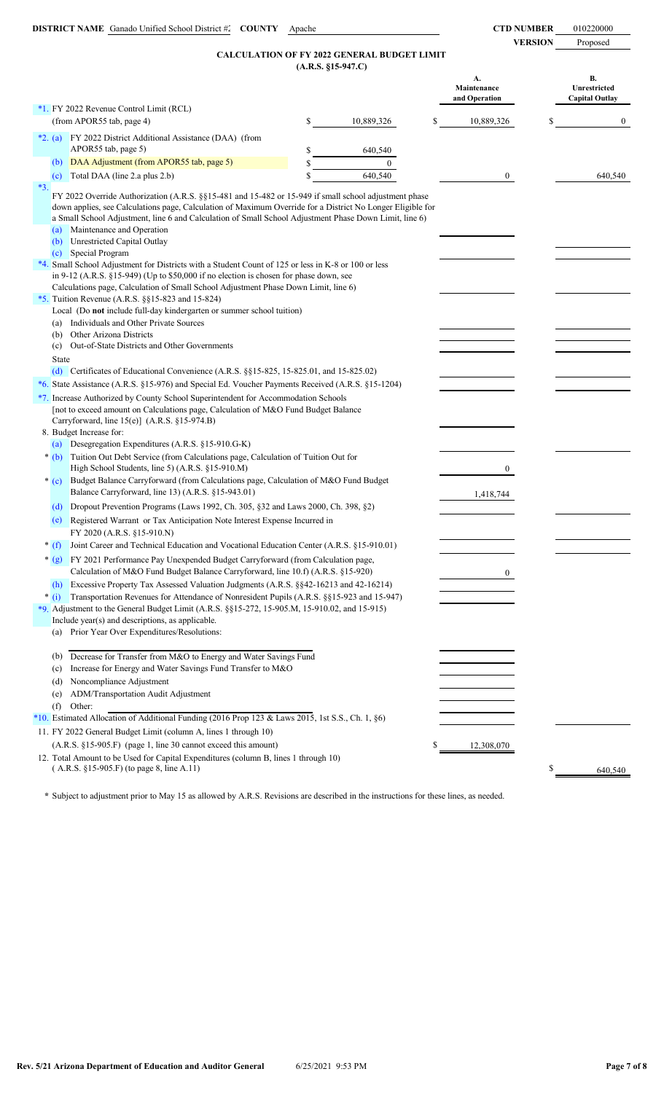**VERSION** Proposed

# **CALCULATION OF FY 2022 GENERAL BUDGET LIMIT**

|                                                                                                                                                                                                                                                                                                                                                                                                                                                                                                                                                                                         | $(A.R.S. §15-947.C)$ |                |                                    |              |    |                                             |
|-----------------------------------------------------------------------------------------------------------------------------------------------------------------------------------------------------------------------------------------------------------------------------------------------------------------------------------------------------------------------------------------------------------------------------------------------------------------------------------------------------------------------------------------------------------------------------------------|----------------------|----------------|------------------------------------|--------------|----|---------------------------------------------|
|                                                                                                                                                                                                                                                                                                                                                                                                                                                                                                                                                                                         |                      |                | A.<br>Maintenance<br>and Operation |              |    | В.<br>Unrestricted<br><b>Capital Outlay</b> |
| *1. FY 2022 Revenue Control Limit (RCL)                                                                                                                                                                                                                                                                                                                                                                                                                                                                                                                                                 |                      |                |                                    |              |    |                                             |
| (from APOR55 tab, page 4)                                                                                                                                                                                                                                                                                                                                                                                                                                                                                                                                                               | \$                   | 10,889,326     | \$                                 | 10,889,326   | \$ | $\bf{0}$                                    |
| FY 2022 District Additional Assistance (DAA) (from<br>$*2. (a)$<br>APOR55 tab, page 5)                                                                                                                                                                                                                                                                                                                                                                                                                                                                                                  | \$                   | 640,540        |                                    |              |    |                                             |
| DAA Adjustment (from APOR55 tab, page 5)<br>(b)                                                                                                                                                                                                                                                                                                                                                                                                                                                                                                                                         | \$                   | $\overline{0}$ |                                    |              |    |                                             |
| Total DAA (line 2.a plus 2.b)<br>(c)                                                                                                                                                                                                                                                                                                                                                                                                                                                                                                                                                    | \$                   | 640,540        |                                    | $\mathbf{0}$ |    | 640,540                                     |
| $*3.$                                                                                                                                                                                                                                                                                                                                                                                                                                                                                                                                                                                   |                      |                |                                    |              |    |                                             |
| FY 2022 Override Authorization (A.R.S. §§15-481 and 15-482 or 15-949 if small school adjustment phase<br>down applies, see Calculations page, Calculation of Maximum Override for a District No Longer Eligible for<br>a Small School Adjustment, line 6 and Calculation of Small School Adjustment Phase Down Limit, line 6)<br>Maintenance and Operation<br>(a)<br>Unrestricted Capital Outlay<br>(b)<br>Special Program<br>(c)                                                                                                                                                       |                      |                |                                    |              |    |                                             |
| *4. Small School Adjustment for Districts with a Student Count of 125 or less in K-8 or 100 or less                                                                                                                                                                                                                                                                                                                                                                                                                                                                                     |                      |                |                                    |              |    |                                             |
| in 9-12 (A.R.S. $\S 15-949$ ) (Up to \$50,000 if no election is chosen for phase down, see                                                                                                                                                                                                                                                                                                                                                                                                                                                                                              |                      |                |                                    |              |    |                                             |
| Calculations page, Calculation of Small School Adjustment Phase Down Limit, line 6)                                                                                                                                                                                                                                                                                                                                                                                                                                                                                                     |                      |                |                                    |              |    |                                             |
| *5. Tuition Revenue (A.R.S. $\S$ §15-823 and 15-824)                                                                                                                                                                                                                                                                                                                                                                                                                                                                                                                                    |                      |                |                                    |              |    |                                             |
| Local (Do not include full-day kindergarten or summer school tuition)<br>Individuals and Other Private Sources<br>(a)                                                                                                                                                                                                                                                                                                                                                                                                                                                                   |                      |                |                                    |              |    |                                             |
| Other Arizona Districts<br>(b)                                                                                                                                                                                                                                                                                                                                                                                                                                                                                                                                                          |                      |                |                                    |              |    |                                             |
| Out-of-State Districts and Other Governments<br>(c)                                                                                                                                                                                                                                                                                                                                                                                                                                                                                                                                     |                      |                |                                    |              |    |                                             |
| State                                                                                                                                                                                                                                                                                                                                                                                                                                                                                                                                                                                   |                      |                |                                    |              |    |                                             |
| (d) Certificates of Educational Convenience (A.R.S. $\S$ 15-825, 15-825.01, and 15-825.02)                                                                                                                                                                                                                                                                                                                                                                                                                                                                                              |                      |                |                                    |              |    |                                             |
| *6. State Assistance (A.R.S. §15-976) and Special Ed. Voucher Payments Received (A.R.S. §15-1204)                                                                                                                                                                                                                                                                                                                                                                                                                                                                                       |                      |                |                                    |              |    |                                             |
| *7. Increase Authorized by County School Superintendent for Accommodation Schools<br>[not to exceed amount on Calculations page, Calculation of M&O Fund Budget Balance<br>Carryforward, line 15(e)] (A.R.S. §15-974.B)<br>8. Budget Increase for:<br>(a) Desegregation Expenditures (A.R.S. §15-910.G-K)<br>* (b) Tuition Out Debt Service (from Calculations page, Calculation of Tuition Out for                                                                                                                                                                                     |                      |                |                                    |              |    |                                             |
| High School Students, line 5) (A.R.S. §15-910.M)                                                                                                                                                                                                                                                                                                                                                                                                                                                                                                                                        |                      |                |                                    | $\mathbf{0}$ |    |                                             |
| Budget Balance Carryforward (from Calculations page, Calculation of M&O Fund Budget<br>$*(c)$<br>Balance Carryforward, line 13) (A.R.S. §15-943.01)                                                                                                                                                                                                                                                                                                                                                                                                                                     |                      |                |                                    | 1,418,744    |    |                                             |
| Dropout Prevention Programs (Laws 1992, Ch. 305, §32 and Laws 2000, Ch. 398, §2)<br>(d)                                                                                                                                                                                                                                                                                                                                                                                                                                                                                                 |                      |                |                                    |              |    |                                             |
| Registered Warrant or Tax Anticipation Note Interest Expense Incurred in<br>(e)<br>FY 2020 (A.R.S. §15-910.N)                                                                                                                                                                                                                                                                                                                                                                                                                                                                           |                      |                |                                    |              |    |                                             |
| Joint Career and Technical Education and Vocational Education Center (A.R.S. §15-910.01)<br>$*(f)$                                                                                                                                                                                                                                                                                                                                                                                                                                                                                      |                      |                |                                    |              |    |                                             |
| * (g) FY 2021 Performance Pay Unexpended Budget Carryforward (from Calculation page,<br>Calculation of M&O Fund Budget Balance Carryforward, line 10.f) (A.R.S. §15-920)<br>Excessive Property Tax Assessed Valuation Judgments (A.R.S. §§42-16213 and 42-16214)<br>(h)<br>Transportation Revenues for Attendance of Nonresident Pupils (A.R.S. §§15-923 and 15-947)<br>$*(i)$<br>*9. Adjustment to the General Budget Limit (A.R.S. §§15-272, 15-905.M, 15-910.02, and 15-915)<br>Include year(s) and descriptions, as applicable.<br>Prior Year Over Expenditures/Resolutions:<br>(a) |                      |                |                                    | $\mathbf{0}$ |    |                                             |
| Decrease for Transfer from M&O to Energy and Water Savings Fund<br>(b)<br>Increase for Energy and Water Savings Fund Transfer to M&O<br>(c)<br>Noncompliance Adjustment<br>(d)<br>ADM/Transportation Audit Adjustment<br>(e)<br>(f)<br>Other:<br>*10. Estimated Allocation of Additional Funding (2016 Prop 123 & Laws 2015, 1st S.S., Ch. 1, §6)<br>11. FY 2022 General Budget Limit (column A, lines 1 through 10)                                                                                                                                                                    |                      |                |                                    |              |    |                                             |
| (A.R.S. §15-905.F) (page 1, line 30 cannot exceed this amount)                                                                                                                                                                                                                                                                                                                                                                                                                                                                                                                          |                      |                |                                    | 12,308,070   |    |                                             |
| 12. Total Amount to be Used for Capital Expenditures (column B, lines 1 through 10)<br>(A.R.S. §15-905.F) (to page 8, line A.11)                                                                                                                                                                                                                                                                                                                                                                                                                                                        |                      |                |                                    |              | S  | 640,540                                     |
|                                                                                                                                                                                                                                                                                                                                                                                                                                                                                                                                                                                         |                      |                |                                    |              |    |                                             |

**\*** Subject to adjustment prior to May 15 as allowed by A.R.S. Revisions are described in the instructions for these lines, as needed.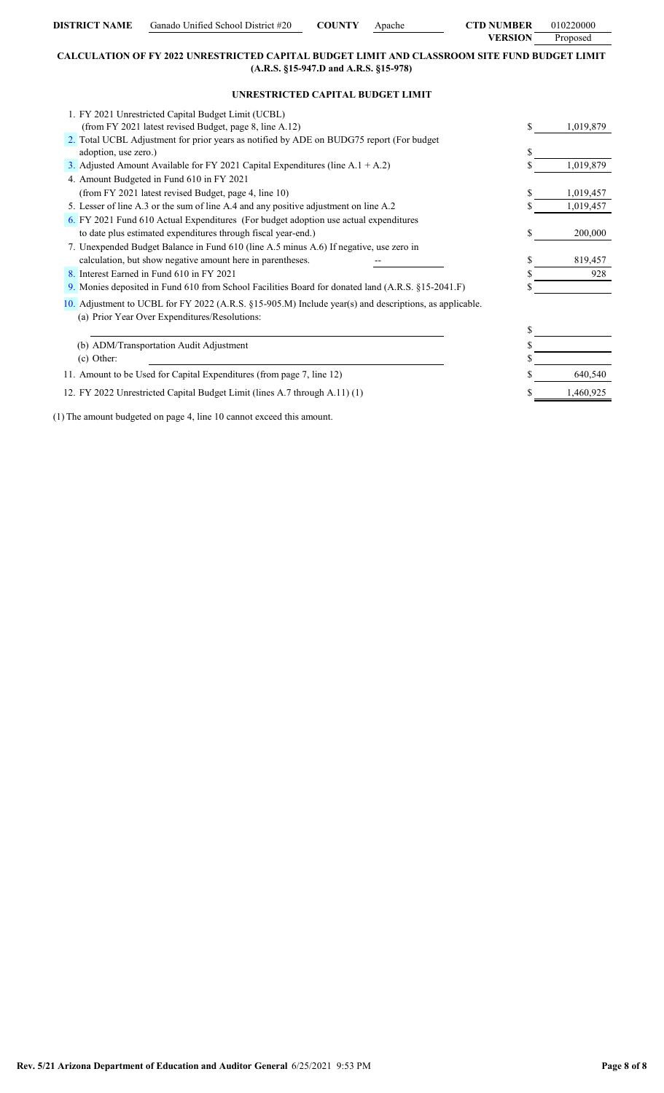| DISTRICT NAME | Ganado Unified School District #20 | <b>COUNTY</b> | Anache | <b>CTD NUMBER</b> | 010220000 |
|---------------|------------------------------------|---------------|--------|-------------------|-----------|
|               |                                    |               |        | <b>VERSION</b>    | Proposed  |

# **CALCULATION OF FY 2022 UNRESTRICTED CAPITAL BUDGET LIMIT AND CLASSROOM SITE FUND BUDGET LIMIT (A.R.S. §15-947.D and A.R.S. §15-978)**

# **UNRESTRICTED CAPITAL BUDGET LIMIT**

| 1. FY 2021 Unrestricted Capital Budget Limit (UCBL)                                                                                                     |                 |
|---------------------------------------------------------------------------------------------------------------------------------------------------------|-----------------|
| (from FY 2021 latest revised Budget, page 8, line A.12)                                                                                                 | \$<br>1.019.879 |
| 2. Total UCBL Adjustment for prior years as notified by ADE on BUDG75 report (For budget                                                                |                 |
| adoption, use zero.)                                                                                                                                    | \$              |
| 3. Adjusted Amount Available for FY 2021 Capital Expenditures (line $A.1 + A.2$ )                                                                       | 1,019,879       |
| 4. Amount Budgeted in Fund 610 in FY 2021                                                                                                               |                 |
| (from FY 2021 latest revised Budget, page 4, line 10)                                                                                                   | 1,019,457       |
| 5. Lesser of line A.3 or the sum of line A.4 and any positive adjustment on line A.2                                                                    | 1,019,457       |
| 6. FY 2021 Fund 610 Actual Expenditures (For budget adoption use actual expenditures                                                                    |                 |
| to date plus estimated expenditures through fiscal year-end.)                                                                                           | \$<br>200,000   |
| 7. Unexpended Budget Balance in Fund 610 (line A.5 minus A.6) If negative, use zero in                                                                  |                 |
| calculation, but show negative amount here in parentheses.                                                                                              | 819,457         |
| 8. Interest Earned in Fund 610 in FY 2021                                                                                                               | 928             |
| 9. Monies deposited in Fund 610 from School Facilities Board for donated land (A.R.S. §15-2041.F)                                                       |                 |
| 10. Adjustment to UCBL for FY 2022 (A.R.S. §15-905.M) Include year(s) and descriptions, as applicable.<br>(a) Prior Year Over Expenditures/Resolutions: |                 |
|                                                                                                                                                         |                 |
| (b) ADM/Transportation Audit Adjustment                                                                                                                 |                 |
| $(c)$ Other:                                                                                                                                            |                 |
| 11. Amount to be Used for Capital Expenditures (from page 7, line 12)                                                                                   | 640,540         |
| 12. FY 2022 Unrestricted Capital Budget Limit (lines A.7 through A.11) (1)                                                                              | 1.460.92        |
|                                                                                                                                                         |                 |

(1) The amount budgeted on page 4, line 10 cannot exceed this amount.

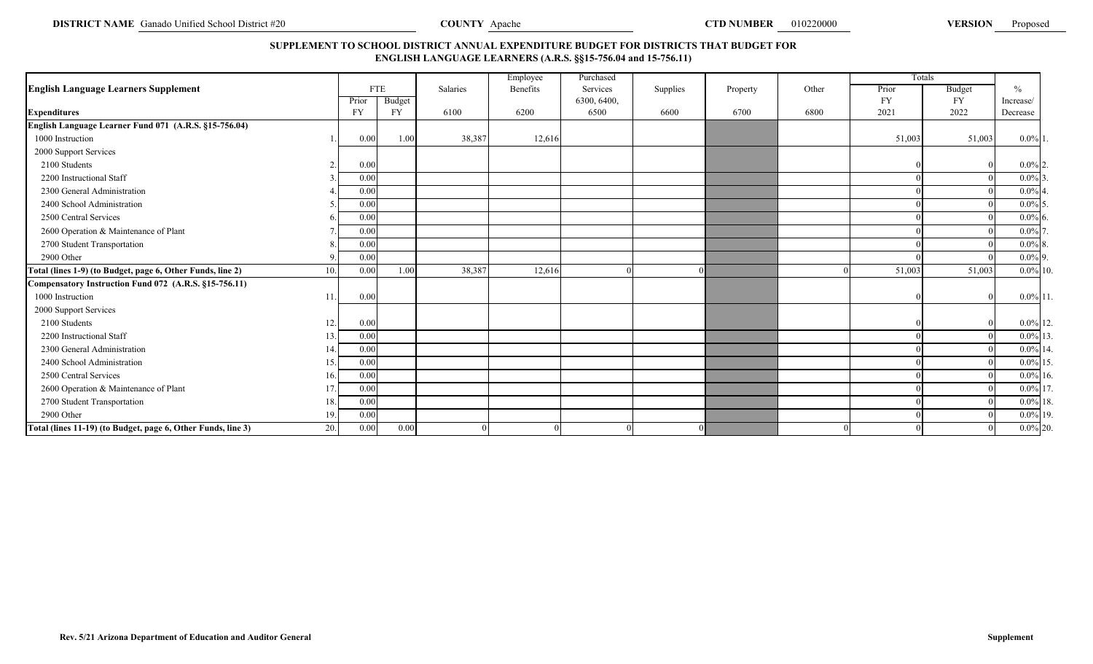# **SUPPLEMENT TO SCHOOL DISTRICT ANNUAL EXPENDITURE BUDGET FOR DISTRICTS THAT BUDGET FOR ENGLISH LANGUAGE LEARNERS (A.R.S. §§15-756.04 and 15-756.11)**

|                                                              |     |            |           |          | Employee | Purchased   |          |          |       |           | Totals    |               |
|--------------------------------------------------------------|-----|------------|-----------|----------|----------|-------------|----------|----------|-------|-----------|-----------|---------------|
| <b>English Language Learners Supplement</b>                  |     | <b>FTE</b> |           | Salaries | Benefits | Services    | Supplies | Property | Other | Prior     | Budget    | $\frac{0}{0}$ |
|                                                              |     | Prior      | Budget    |          |          | 6300, 6400, |          |          |       | <b>FY</b> | <b>FY</b> | Increase/     |
| <b>Expenditures</b>                                          |     | FY         | <b>FY</b> | 6100     | 6200     | 6500        | 6600     | 6700     | 6800  | 2021      | 2022      | Decrease      |
| English Language Learner Fund 071 (A.R.S. §15-756.04)        |     |            |           |          |          |             |          |          |       |           |           |               |
| 1000 Instruction                                             |     | 0.00       | 1.00      | 38,387   | 12,616   |             |          |          |       | 51,003    | 51,003    | $0.0\%$ 1.    |
| 2000 Support Services                                        |     |            |           |          |          |             |          |          |       |           |           |               |
| 2100 Students                                                |     | 0.00       |           |          |          |             |          |          |       |           |           | $0.0\%$ 2     |
| 2200 Instructional Staff                                     |     | 0.00       |           |          |          |             |          |          |       |           |           | $0.0\%$ 3     |
| 2300 General Administration                                  |     | 0.00       |           |          |          |             |          |          |       |           |           | $0.0\%$       |
| 2400 School Administration                                   |     | 0.00       |           |          |          |             |          |          |       |           |           | $0.0\%$ 5     |
| 2500 Central Services                                        |     | 0.00       |           |          |          |             |          |          |       |           |           | $0.0\%$ 6     |
| 2600 Operation & Maintenance of Plant                        |     | 0.00       |           |          |          |             |          |          |       |           |           | $0.0\%$       |
| 2700 Student Transportation                                  |     | 0.00       |           |          |          |             |          |          |       |           |           | $0.0\%$ 8.    |
| 2900 Other                                                   |     | 0.00       |           |          |          |             |          |          |       |           |           | $0.0\%$ 9.    |
| Total (lines 1-9) (to Budget, page 6, Other Funds, line 2)   | 10. | 0.00       | 1.00      | 38,387   | 12,616   |             |          |          |       | 51,003    | 51,003    | $0.0\%$ 10.   |
| Compensatory Instruction Fund 072 (A.R.S. §15-756.11)        |     |            |           |          |          |             |          |          |       |           |           |               |
| 1000 Instruction                                             | 11  | 0.00       |           |          |          |             |          |          |       |           |           | $0.0\%$ 11    |
| 2000 Support Services                                        |     |            |           |          |          |             |          |          |       |           |           |               |
| 2100 Students                                                | 12. | 0.00       |           |          |          |             |          |          |       |           |           | $0.0\%$ 12.   |
| 2200 Instructional Staff                                     | 13. | 0.00       |           |          |          |             |          |          |       |           |           | $0.0\%$ 13.   |
| 2300 General Administration                                  | 14. | 0.00       |           |          |          |             |          |          |       |           |           | $0.0\%$ 14.   |
| 2400 School Administration                                   | 15. | 0.00       |           |          |          |             |          |          |       |           |           | $0.0\%$ 15    |
| 2500 Central Services                                        | 16. | 0.00       |           |          |          |             |          |          |       |           |           | $0.0\%$ 16.   |
| 2600 Operation & Maintenance of Plant                        | 17. | 0.00       |           |          |          |             |          |          |       |           |           | $0.0\%$ 17    |
| 2700 Student Transportation                                  | 18. | 0.00       |           |          |          |             |          |          |       |           |           | $0.0\%$ 18.   |
| 2900 Other                                                   | 19. | 0.00       |           |          |          |             |          |          |       |           |           | $0.0\%$ 19.   |
| Total (lines 11-19) (to Budget, page 6, Other Funds, line 3) | 20. | 0.00       | 0.00      |          |          |             |          |          |       |           |           | $0.0\%$ 20.   |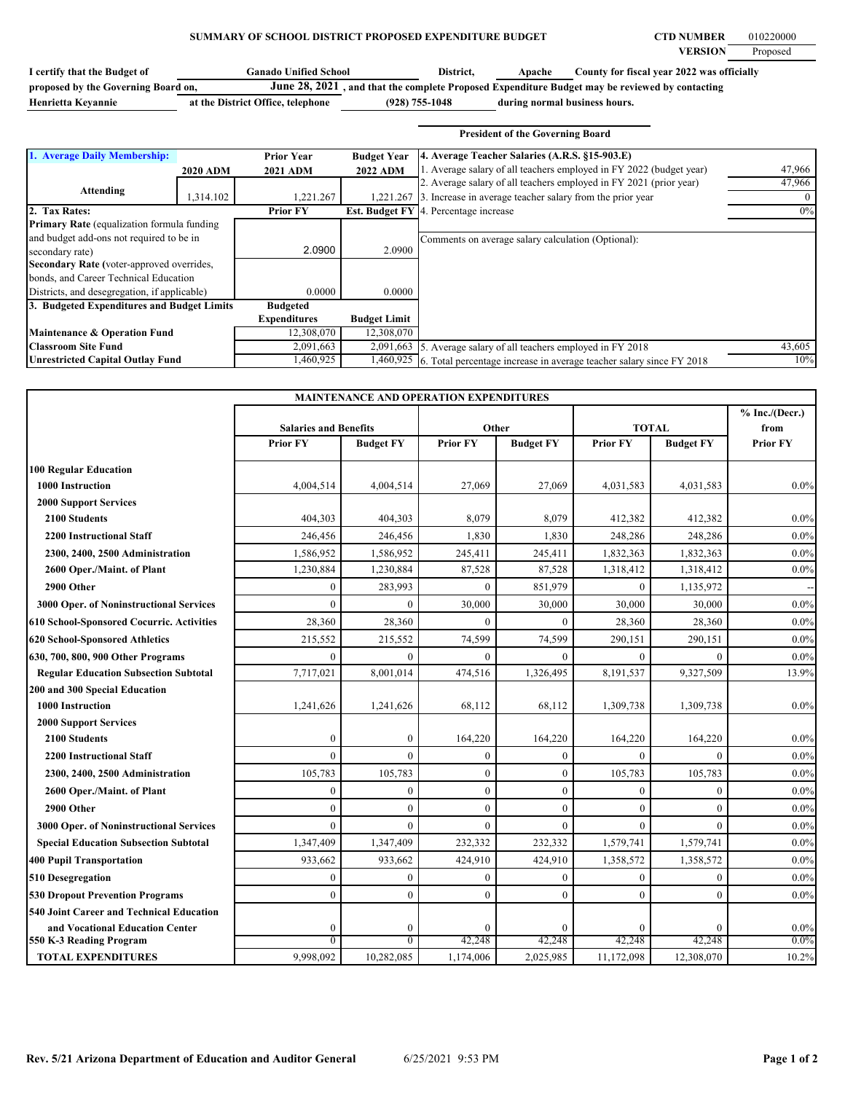# **SUMMARY OF SCHOOL DISTRICT PROPOSED EXPENDITURE BUDGET CTD NUMBER 010220000**

| <b>Ganado Unified School</b><br>I certify that the Budget of |                                   | District,          | Apache                        | County for fiscal year 2022 was officially                                                     |
|--------------------------------------------------------------|-----------------------------------|--------------------|-------------------------------|------------------------------------------------------------------------------------------------|
| proposed by the Governing Board on,                          |                                   |                    |                               | June 28, 2021, and that the complete Proposed Expenditure Budget may be reviewed by contacting |
| Henrietta Kevannie                                           | at the District Office, telephone | $(928) 755 - 1048$ | during normal business hours. |                                                                                                |

|                                                   |                 |                     |                     | <b>President of the Governing Board</b>                              |          |
|---------------------------------------------------|-----------------|---------------------|---------------------|----------------------------------------------------------------------|----------|
| 1. Average Daily Membership:                      |                 | <b>Prior Year</b>   | <b>Budget Year</b>  | 4. Average Teacher Salaries (A.R.S. §15-903.E)                       |          |
|                                                   | <b>2020 ADM</b> | <b>2021 ADM</b>     | <b>2022 ADM</b>     | 1. Average salary of all teachers employed in FY 2022 (budget year)  | 47,966   |
|                                                   |                 |                     |                     | 2. Average salary of all teachers employed in FY 2021 (prior year)   | 47,966   |
| Attending                                         | 1,314.102       | 1,221.267           |                     | 1,221.267 3. Increase in average teacher salary from the prior year  | $\Omega$ |
| 2. Tax Rates:                                     |                 | <b>Prior FY</b>     |                     | <b>Est. Budget FY</b> 4. Percentage increase                         | 0%       |
| <b>Primary Rate</b> (equalization formula funding |                 |                     |                     |                                                                      |          |
| and budget add-ons not required to be in          |                 |                     |                     | Comments on average salary calculation (Optional):                   |          |
| secondary rate)                                   |                 | 2.0900              | 2.0900              |                                                                      |          |
| Secondary Rate (voter-approved overrides,         |                 |                     |                     |                                                                      |          |
| bonds, and Career Technical Education             |                 |                     |                     |                                                                      |          |
| Districts, and desegregation, if applicable)      |                 | 0.0000              | 0.0000              |                                                                      |          |
| 3. Budgeted Expenditures and Budget Limits        |                 | <b>Budgeted</b>     |                     |                                                                      |          |
|                                                   |                 | <b>Expenditures</b> | <b>Budget Limit</b> |                                                                      |          |
| <b>Maintenance &amp; Operation Fund</b>           |                 | 12,308,070          | 12,308,070          |                                                                      |          |
| <b>Classroom Site Fund</b>                        |                 | 2,091,663           | 2,091,663           | 5. Average salary of all teachers employed in FY 2018                | 43,605   |
| <b>Unrestricted Capital Outlay Fund</b>           |                 | 1,460,925           | 1,460,925           | 6. Total percentage increase in average teacher salary since FY 2018 | 10%      |

| <b>MAINTENANCE AND OPERATION EXPENDITURES</b> |                              |                  |                 |                  |                 |                  |                          |
|-----------------------------------------------|------------------------------|------------------|-----------------|------------------|-----------------|------------------|--------------------------|
|                                               | <b>Salaries and Benefits</b> |                  |                 | Other            |                 | <b>TOTAL</b>     | $%$ Inc./(Decr.)<br>from |
|                                               | <b>Prior FY</b>              | <b>Budget FY</b> | <b>Prior FY</b> | <b>Budget FY</b> | <b>Prior FY</b> | <b>Budget FY</b> | <b>Prior FY</b>          |
| <b>100 Regular Education</b>                  |                              |                  |                 |                  |                 |                  |                          |
| 1000 Instruction                              | 4,004,514                    | 4,004,514        | 27,069          | 27,069           | 4,031,583       | 4,031,583        | $0.0\%$                  |
| <b>2000 Support Services</b>                  |                              |                  |                 |                  |                 |                  |                          |
| 2100 Students                                 | 404,303                      | 404,303          | 8,079           | 8,079            | 412,382         | 412,382          | $0.0\%$                  |
| <b>2200 Instructional Staff</b>               | 246,456                      | 246,456          | 1,830           | 1,830            | 248,286         | 248,286          | $0.0\%$                  |
| 2300, 2400, 2500 Administration               | 1,586,952                    | 1,586,952        | 245,411         | 245,411          | 1,832,363       | 1,832,363        | $0.0\%$                  |
| 2600 Oper./Maint. of Plant                    | 1,230,884                    | 1,230,884        | 87,528          | 87,528           | 1,318,412       | 1,318,412        | 0.0%                     |
| 2900 Other                                    | $\overline{0}$               | 283,993          | $\theta$        | 851,979          | $\theta$        | 1,135,972        |                          |
| 3000 Oper. of Noninstructional Services       | $\theta$                     | $\theta$         | 30,000          | 30,000           | 30,000          | 30,000           | $0.0\%$                  |
| 610 School-Sponsored Cocurric. Activities     | 28,360                       | 28,360           | $\theta$        | $\Omega$         | 28,360          | 28,360           | 0.0%                     |
| 620 School-Sponsored Athletics                | 215,552                      | 215,552          | 74,599          | 74,599           | 290,151         | 290,151          | $0.0\%$                  |
| 630, 700, 800, 900 Other Programs             | $\mathbf{0}$                 | $\mathbf{0}$     | $\theta$        | $\theta$         | $\theta$        | $\theta$         | $0.0\%$                  |
| <b>Regular Education Subsection Subtotal</b>  | 7,717,021                    | 8,001,014        | 474,516         | 1,326,495        | 8,191,537       | 9,327,509        | 13.9%                    |
| 200 and 300 Special Education                 |                              |                  |                 |                  |                 |                  |                          |
| 1000 Instruction                              | 1,241,626                    | 1,241,626        | 68,112          | 68,112           | 1,309,738       | 1,309,738        | $0.0\%$                  |
| <b>2000 Support Services</b>                  |                              |                  |                 |                  |                 |                  |                          |
| 2100 Students                                 | $\mathbf{0}$                 | $\mathbf{0}$     | 164,220         | 164,220          | 164,220         | 164,220          | 0.0%                     |
| <b>2200 Instructional Staff</b>               | $\theta$                     | $\theta$         | $\theta$        | $\Omega$         | $\Omega$        | $\Omega$         | $0.0\%$                  |
| 2300, 2400, 2500 Administration               | 105,783                      | 105,783          | $\theta$        | $\mathbf{0}$     | 105,783         | 105,783          | $0.0\%$                  |
| 2600 Oper./Maint. of Plant                    | $\mathbf{0}$                 | $\mathbf{0}$     | $\theta$        | $\theta$         | $\mathbf{0}$    | $\theta$         | $0.0\%$                  |
| 2900 Other                                    | $\mathbf{0}$                 | $\mathbf{0}$     | $\theta$        | $\mathbf{0}$     | $\theta$        | $\theta$         | $0.0\%$                  |
| 3000 Oper. of Noninstructional Services       | $\theta$                     | $\theta$         | $\theta$        | $\Omega$         | $\theta$        | $\theta$         | $0.0\%$                  |
| <b>Special Education Subsection Subtotal</b>  | 1,347,409                    | 1,347,409        | 232,332         | 232,332          | 1,579,741       | 1,579,741        | 0.0%                     |
| <b>400 Pupil Transportation</b>               | 933,662                      | 933,662          | 424,910         | 424,910          | 1,358,572       | 1,358,572        | $0.0\%$                  |
| 510 Desegregation                             | $\mathbf{0}$                 | $\boldsymbol{0}$ | $\Omega$        | $\mathbf{0}$     | $\mathbf{0}$    | $\mathbf{0}$     | 0.0%                     |
| <b>530 Dropout Prevention Programs</b>        | $\overline{0}$               | $\overline{0}$   | $\theta$        | $\theta$         | $\theta$        | $\theta$         | $0.0\%$                  |
| 540 Joint Career and Technical Education      |                              |                  |                 |                  |                 |                  |                          |
| and Vocational Education Center               | $\boldsymbol{0}$             | $\boldsymbol{0}$ | $\Omega$        | $\Omega$         | $\Omega$        | $\theta$         | 0.0%                     |
| 550 K-3 Reading Program                       | $\overline{0}$               | $\overline{0}$   | 42,248          | 42,248           | 42,248          | 42,248           | $0.0\%$                  |
| <b>TOTAL EXPENDITURES</b>                     | 9,998,092                    | 10,282,085       | 1,174,006       | 2,025,985        | 11,172,098      | 12,308,070       | 10.2%                    |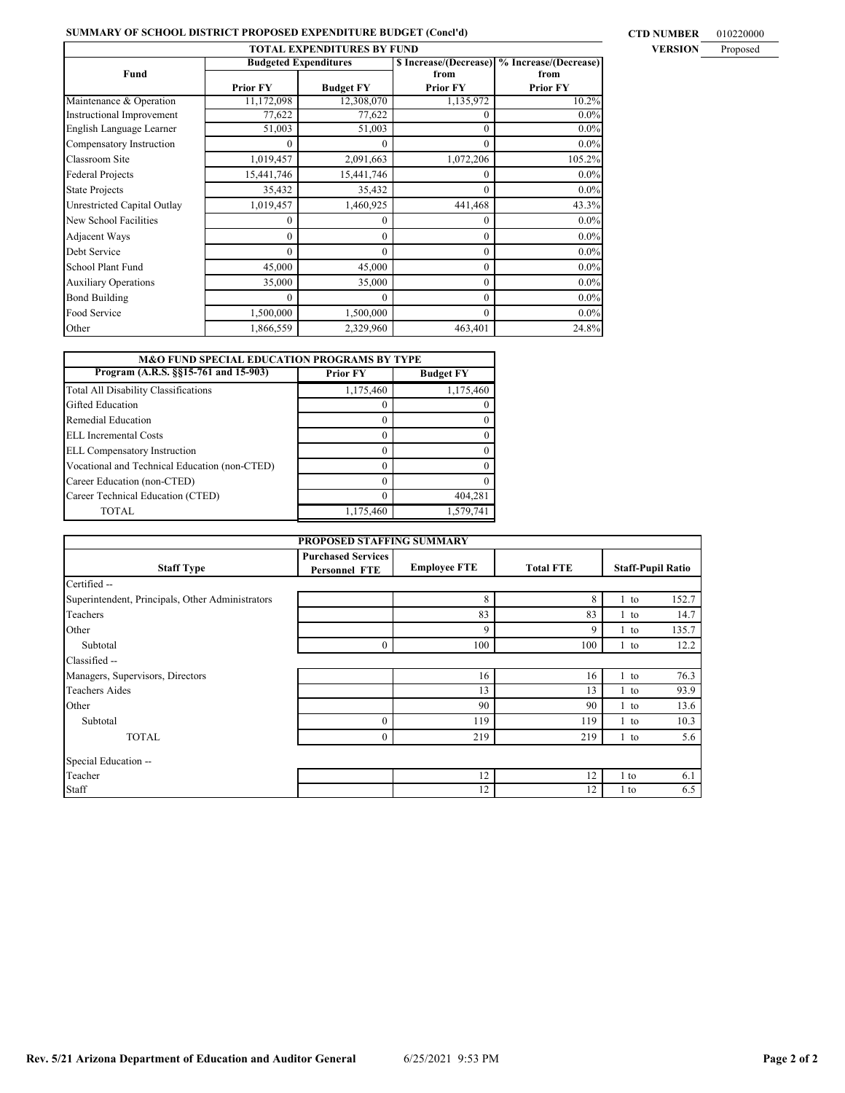# **SUMMARY OF SCHOOL DISTRICT PROPOSED EXPENDITURE BUDGET (Concl'd)** CTD NUMBER 010220000

| <b>TOTAL EXPENDITURES BY FUND</b> |                              |                  |           |                                              |  |  |  |  |
|-----------------------------------|------------------------------|------------------|-----------|----------------------------------------------|--|--|--|--|
|                                   | <b>Budgeted Expenditures</b> |                  |           | \$ Increase/(Decrease) % Increase/(Decrease) |  |  |  |  |
| Fund                              |                              |                  | from      | from                                         |  |  |  |  |
|                                   | <b>Prior FY</b>              | <b>Budget FY</b> | Prior FY  | <b>Prior FY</b>                              |  |  |  |  |
| Maintenance & Operation           | 11,172,098                   | 12,308,070       | 1,135,972 | 10.2%                                        |  |  |  |  |
| <b>Instructional Improvement</b>  | 77,622                       | 77,622           | 0         | 0.0%                                         |  |  |  |  |
| English Language Learner          | 51,003                       | 51,003           | $\Omega$  | 0.0%                                         |  |  |  |  |
| Compensatory Instruction          | $\theta$                     | $\theta$         | $\Omega$  | 0.0%                                         |  |  |  |  |
| Classroom Site                    | 1,019,457                    | 2,091,663        | 1,072,206 | 105.2%                                       |  |  |  |  |
| <b>Federal Projects</b>           | 15,441,746                   | 15,441,746       | 0         | $0.0\%$                                      |  |  |  |  |
| <b>State Projects</b>             | 35,432                       | 35,432           | 0         | $0.0\%$                                      |  |  |  |  |
| Unrestricted Capital Outlay       | 1,019,457                    | 1,460,925        | 441,468   | 43.3%                                        |  |  |  |  |
| New School Facilities             | $\theta$                     | $\Omega$         | 0         | $0.0\%$                                      |  |  |  |  |
| Adjacent Ways                     | $\theta$                     | $\Omega$         | $\Omega$  | $0.0\%$                                      |  |  |  |  |
| Debt Service                      | $\theta$                     | $\Omega$         | $\Omega$  | 0.0%                                         |  |  |  |  |
| School Plant Fund                 | 45,000                       | 45,000           | $\Omega$  | 0.0%                                         |  |  |  |  |
| <b>Auxiliary Operations</b>       | 35,000                       | 35,000           | $\Omega$  | 0.0%                                         |  |  |  |  |
| <b>Bond Building</b>              | $\Omega$                     | $\Omega$         | $\theta$  | 0.0%                                         |  |  |  |  |
| Food Service                      | 1,500,000                    | 1,500,000        | $\theta$  | $0.0\%$                                      |  |  |  |  |
| Other                             | 1,866,559                    | 2,329,960        | 463,401   | 24.8%                                        |  |  |  |  |

| <b>M&amp;O FUND SPECIAL EDUCATION PROGRAMS BY TYPE</b> |                 |                  |  |  |  |  |  |  |
|--------------------------------------------------------|-----------------|------------------|--|--|--|--|--|--|
| Program (A.R.S. §§15-761 and 15-903)                   | <b>Prior FY</b> | <b>Budget FY</b> |  |  |  |  |  |  |
| <b>Total All Disability Classifications</b>            | 1,175,460       | 1,175,460        |  |  |  |  |  |  |
| Gifted Education                                       |                 |                  |  |  |  |  |  |  |
| Remedial Education                                     |                 |                  |  |  |  |  |  |  |
| ELL Incremental Costs                                  |                 |                  |  |  |  |  |  |  |
| <b>ELL Compensatory Instruction</b>                    |                 |                  |  |  |  |  |  |  |
| Vocational and Technical Education (non-CTED)          |                 |                  |  |  |  |  |  |  |
| Career Education (non-CTED)                            |                 |                  |  |  |  |  |  |  |
| Career Technical Education (CTED)                      |                 | 404.281          |  |  |  |  |  |  |
| TOTAL.                                                 | 1,175,460       | 1,579,741        |  |  |  |  |  |  |

| PROPOSED STAFFING SUMMARY                        |                                                   |                     |                  |        |                          |  |  |  |  |
|--------------------------------------------------|---------------------------------------------------|---------------------|------------------|--------|--------------------------|--|--|--|--|
| <b>Staff Type</b>                                | <b>Purchased Services</b><br><b>Personnel FTE</b> | <b>Employee FTE</b> | <b>Total FTE</b> |        | <b>Staff-Pupil Ratio</b> |  |  |  |  |
| Certified --                                     |                                                   |                     |                  |        |                          |  |  |  |  |
| Superintendent, Principals, Other Administrators |                                                   | 8                   | 8                | 1 to   | 152.7                    |  |  |  |  |
| Teachers                                         |                                                   | 83                  | 83               | 1 to   | 14.7                     |  |  |  |  |
| Other                                            |                                                   | 9                   | 9                | $1$ to | 135.7                    |  |  |  |  |
| Subtotal                                         | $\mathbf{0}$                                      | 100                 | 100              | 1 to   | 12.2                     |  |  |  |  |
| Classified --                                    |                                                   |                     |                  |        |                          |  |  |  |  |
| Managers, Supervisors, Directors                 |                                                   | 16                  | 16               | $1$ to | 76.3                     |  |  |  |  |
| <b>Teachers Aides</b>                            |                                                   | 13                  | 13               | $1$ to | 93.9                     |  |  |  |  |
| Other                                            |                                                   | 90                  | 90               | $1$ to | 13.6                     |  |  |  |  |
| Subtotal                                         | $\mathbf{0}$                                      | 119                 | 119              | $1$ to | 10.3                     |  |  |  |  |
| <b>TOTAL</b>                                     | $\mathbf{0}$                                      | 219                 | 219              | $1$ to | 5.6                      |  |  |  |  |
| Special Education --                             |                                                   |                     |                  |        |                          |  |  |  |  |
| Teacher                                          |                                                   | 12                  | 12               | 1 to   | 6.1                      |  |  |  |  |
| Staff                                            |                                                   | 12                  | 12               | 1 to   | 6.5                      |  |  |  |  |

# **Rev. 5/21 Arizona Department of Education and Auditor General** 6/25/2021 9:53 PM **Page 2 of 2**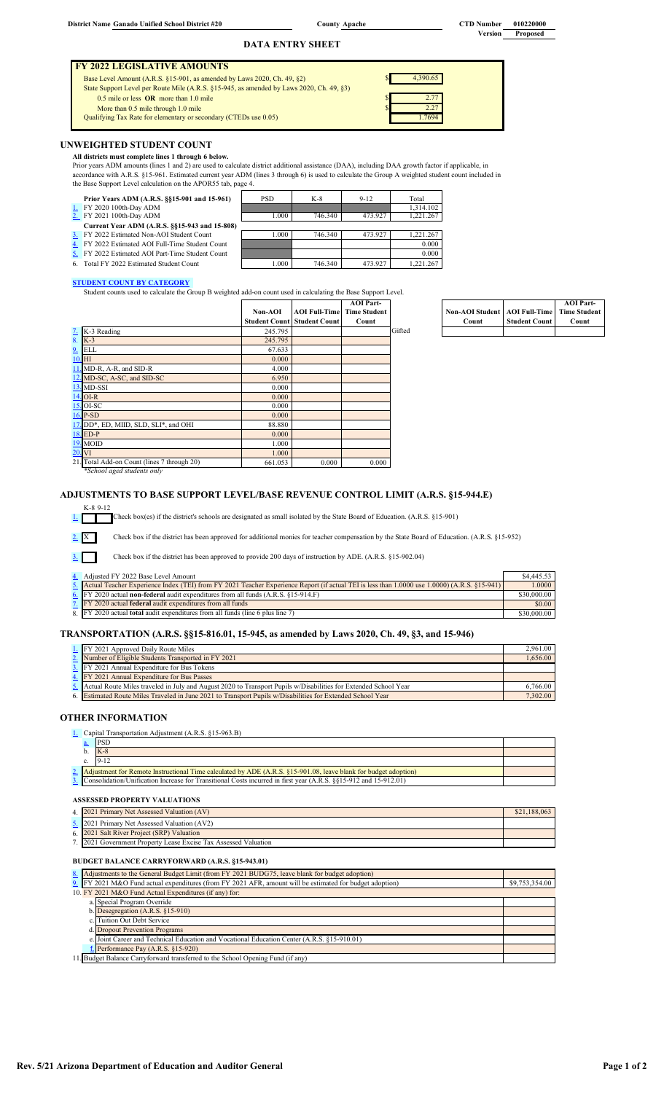**DATA ENTRY SHEET**

| <b>I FY 2022 LEGISLATIVE AMOUNTS</b>                                                     |          |
|------------------------------------------------------------------------------------------|----------|
| Base Level Amount (A.R.S. §15-901, as amended by Laws 2020, Ch. 49, §2)                  | 4.390.65 |
| State Support Level per Route Mile (A.R.S. §15-945, as amended by Laws 2020, Ch. 49, §3) |          |
| $0.5$ mile or less $OR$ more than 1.0 mile                                               | 2.77     |
| More than 0.5 mile through 1.0 mile                                                      | 2.27     |
| Qualifying Tax Rate for elementary or secondary (CTEDs use 0.05)                         | 17694    |
|                                                                                          |          |

# **UNWEIGHTED STUDENT COUNT**

**All districts must complete lines 1 through 6 below.** 

Prior years ADM amounts (lines 1 and 2) are used to calculate district additional assistance (DAA), including DAA growth factor if applicable, in

accordance with A.R.S. §15-961. Estimated current year ADM (lines 3 through 6) is used to calculate the Group A weighted student count included in

| the Base Support Level calculation on the APOR55 tab, page 4. |       |         |          |           |
|---------------------------------------------------------------|-------|---------|----------|-----------|
| Prior Years ADM (A.R.S. §§15-901 and 15-961)                  | PSD.  | K-8     | $9 - 12$ | Total     |
| 1. FY 2020 100th-Day ADM                                      |       |         |          | 1.314.102 |
| 2. FY 2021 100th-Day ADM                                      | 1.000 | 746.340 | 473.927  | 1.221.267 |
| Current Year ADM (A.R.S. §§15-943 and 15-808)                 |       |         |          |           |
| 3. FY 2022 Estimated Non-AOI Student Count                    | 1.000 | 746.340 | 473.927  | 1.221.267 |
| FY 2022 Estimated AOI Full-Time Student Count                 |       |         |          | 0.000     |
| 5. FY 2022 Estimated AOI Part-Time Student Count              |       |         |          | 0.000     |
| 6. Total FY 2022 Estimated Student Count                      | 1.000 | 746.340 | 473.927  | 1.221.267 |

# **STUDENT COUNT BY CATEGORY**

Student counts used to calculate the Group B weighted add-on count used in calculating the Base Support Level.

|    |                                             |         |                                    | <b>AOI</b> Part-    |        |
|----|---------------------------------------------|---------|------------------------------------|---------------------|--------|
|    |                                             | Non-AOI | <b>AOI Full-Time</b>               | <b>Time Student</b> |        |
|    |                                             |         | <b>Student Count Student Count</b> | Count               |        |
|    | $\overline{2}$ . K-3 Reading                | 245.795 |                                    |                     | Gifted |
| 8. | $K-3$                                       | 245.795 |                                    |                     |        |
|    | 9. ELL                                      | 67.633  |                                    |                     |        |
|    | $10.$ HI                                    | 0.000   |                                    |                     |        |
|    | 11. MD-R, A-R, and SID-R                    | 4.000   |                                    |                     |        |
|    | 12. MD-SC, A-SC, and SID-SC                 | 6.950   |                                    |                     |        |
|    | 13. MD-SSI                                  | 0.000   |                                    |                     |        |
|    | $14.$ OI-R                                  | 0.000   |                                    |                     |        |
|    | 15. OI-SC                                   | 0.000   |                                    |                     |        |
|    | 16. P-SD                                    | 0.000   |                                    |                     |        |
|    | 17. DD*, ED, MIID, SLD, SLI*, and OHI       | 88.880  |                                    |                     |        |
|    | 18. ED-P                                    | 0.000   |                                    |                     |        |
|    | 19. MOID                                    | 1.000   |                                    |                     |        |
|    | 20. VI                                      | 1.000   |                                    |                     |        |
|    | 21. Total Add-on Count (lines 7 through 20) | 661.053 | 0.000                              | 0.000               |        |
|    | *School aged students only                  |         |                                    |                     |        |

#### **Non-AOI Student Count AOI Full-Time Student Coun AOI Part-Time Student Count**

**ADJUSTMENTS TO BASE SUPPORT LEVEL/BASE REVENUE CONTROL LIMIT (A.R.S. §15-944.E)**

K-8 9-12

1. Check box(es) if the district's schools are designated as small isolated by the State Board of Education. (A.R.S. §15-901)

2. X Check box if the district has been approved for additional monies for teacher compensation by the State Board of Education. (A.R.S. §15-952)

Check box if the district has been approved to provide 200 days of instruction by ADE. (A.R.S. §15-902.04) 

| 4. Adjusted FY 2022 Base Level Amount                                                                                                           | \$4,445.53  |
|-------------------------------------------------------------------------------------------------------------------------------------------------|-------------|
| 5. Actual Teacher Experience Index (TEI) from FY 2021 Teacher Experience Report (if actual TEI is less than 1.0000 use 1.0000) (A.R.S. §15-941) | 1.0000      |
| 6. $[$ FY 2020 actual non-federal audit expenditures from all funds (A.R.S. $\S15-914$ .F)                                                      | \$30,000.00 |
| 7. FY 2020 actual <b>federal</b> audit expenditures from all funds                                                                              | \$0.00      |
| 8. FY 2020 actual <b>total</b> audit expenditures from all funds (line 6 plus line 7)                                                           | \$30,000.00 |

# **TRANSPORTATION (A.R.S. §§15-816.01, 15-945, as amended by Laws 2020, Ch. 49, §3, and 15-946)**

| 1. FY 2021 Approved Daily Route Miles                                                                              | 2.961.00 |
|--------------------------------------------------------------------------------------------------------------------|----------|
| 2. Number of Eligible Students Transported in FY 2021                                                              | 1.656.00 |
| 3. FY 2021 Annual Expenditure for Bus Tokens                                                                       |          |
| 4. FY 2021 Annual Expenditure for Bus Passes                                                                       |          |
| 5. Actual Route Miles traveled in July and August 2020 to Transport Pupils w/Disabilities for Extended School Year | 6.766.00 |
| 6. Estimated Route Miles Traveled in June 2021 to Transport Pupils w/Disabilities for Extended School Year         | 7,302.00 |

# **OTHER INFORMATION**

 $3.$ 

1. Capital Transportation Adjustment (A.R.S. §15-963.B)

|  | $K-8$                                                                                                               |  |
|--|---------------------------------------------------------------------------------------------------------------------|--|
|  |                                                                                                                     |  |
|  | 2. Adjustment for Remote Instructional Time calculated by ADE (A.R.S. §15-901.08, leave blank for budget adoption)  |  |
|  | 3. Consolidation/Unification Increase for Transitional Costs incurred in first year (A.R.S. §§15-912 and 15-912.01) |  |

#### **ASSESSED PROPERTY VALUATIONS**

| 4. 2021 Primary Net Assessed Valuation (AV)                     | \$21,188,063 |
|-----------------------------------------------------------------|--------------|
| 5. 2021 Primary Net Assessed Valuation (AV2)                    |              |
| 6. 2021 Salt River Project (SRP) Valuation                      |              |
| 7. 2021 Government Property Lease Excise Tax Assessed Valuation |              |

#### **BUDGET BALANCE CARRYFORWARD (A.R.S. §15-943.01)**

<span id="page-13-2"></span><span id="page-13-1"></span><span id="page-13-0"></span>

|  | 8. Adjustments to the General Budget Limit (from FY 2021 BUDG75, leave blank for budget adoption)        |                |
|--|----------------------------------------------------------------------------------------------------------|----------------|
|  | 9. FY 2021 M&O Fund actual expenditures (from FY 2021 AFR, amount will be estimated for budget adoption) | \$9,753,354.00 |
|  | 10. FY 2021 M&O Fund Actual Expenditures (if any) for:                                                   |                |
|  | a. Special Program Override                                                                              |                |
|  | b. Desegregation $(A.R.S. \$ $15-910)$                                                                   |                |
|  | c. Tuition Out Debt Service                                                                              |                |
|  | d. Dropout Prevention Programs                                                                           |                |
|  | e. Joint Career and Technical Education and Vocational Education Center (A.R.S. §15-910.01)              |                |
|  | Performance Pay $(A.R.S. §15-920)$                                                                       |                |
|  | 11. Budget Balance Carryforward transferred to the School Opening Fund (if any)                          |                |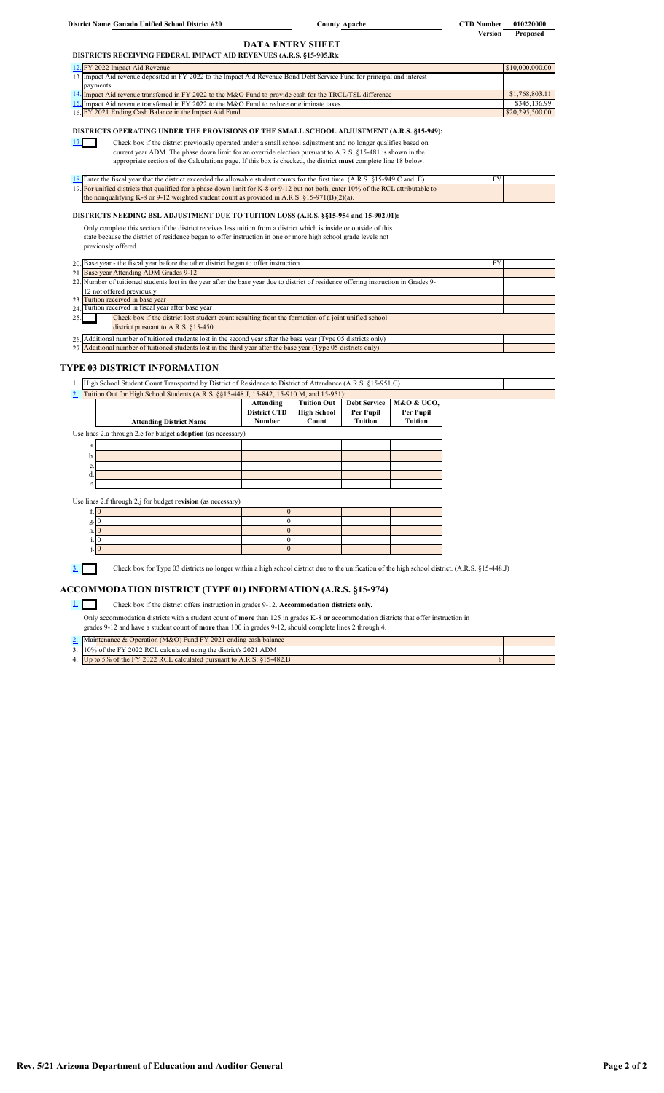| District Name Ganado Unified School District #20 |  |  |  |  |  |
|--------------------------------------------------|--|--|--|--|--|
|--------------------------------------------------|--|--|--|--|--|

17.

 $County$  **Apache** 

<span id="page-14-8"></span><span id="page-14-7"></span><span id="page-14-6"></span><span id="page-14-5"></span><span id="page-14-4"></span><span id="page-14-3"></span>**County CTD Number 010220000 Version Proposed**

#### **DATA ENTRY SHEET DISTRICTS RECEIVING FEDERAL IMPACT AID REVENUES (A.R.S. §15-905.R):**

| 12. FY 2022 Impact Aid Revenue                                                                                          | \$10,000,000.00 |
|-------------------------------------------------------------------------------------------------------------------------|-----------------|
| 13. Impact Aid revenue deposited in FY 2022 to the Impact Aid Revenue Bond Debt Service Fund for principal and interest |                 |
| payments                                                                                                                |                 |
| 14. Impact Aid revenue transferred in FY 2022 to the M&O Fund to provide cash for the TRCL/TSL difference               | \$1,768,803.11  |
| 15. Impact Aid revenue transferred in FY 2022 to the M&O Fund to reduce or eliminate taxes                              | \$345,136.99    |
| 16. FY 2021 Ending Cash Balance in the Impact Aid Fund                                                                  | \$20,295,500.00 |

## **DISTRICTS OPERATING UNDER THE PROVISIONS OF THE SMALL SCHOOL ADJUSTMENT (A.R.S. §15-949):**

┓ Check box if the district previously operated under a small school adjustment and no longer qualifies based on

current year ADM. The phase down limit for an override election pursuant to A.R.S. §15-481 is shown in the

appropriate section of the Calculations page. If this box is checked, the district **must** complete line 18 below.

| 18. Enter the fiscal vear that the district exceeded the allowable student counts for the first time. $(A.R.S. 815-949.C.$ and $E)$ |  |
|-------------------------------------------------------------------------------------------------------------------------------------|--|
| 19. For unified districts that qualified for a phase down limit for K-8 or 9-12 but not both, enter 10% of the RCL attributable to  |  |
| the nonqualifying K-8 or 9-12 weighted student count as provided in A.R.S. $\S15-971(B)(2)(a)$ .                                    |  |

# **DISTRICTS NEEDING BSL ADJUSTMENT DUE TO TUITION LOSS (A.R.S. §§15-954 and 15-902.01):**

Only complete this section if the district receives less tuition from a district which is inside or outside of this state because the district of residence began to offer instruction in one or more high school grade levels not previously offered.

- 20. Base year the fiscal year before the other district began to offer instruction FY
- 21. Base year Attending ADM Grades 9-12 22. 23. Tuition received in base year<br> $24$  Tuition received in fiscal year on received in fiscal year after base year 25. 26. Additional number of tuitioned students lost in the second year after the base year (Type 05 districts only) 27. Additional number of tuitioned students lost in the third year after the base year (Type 05 districts only) Check box if the district lost student count resulting from the formation of a joint unified school district pursuant to A.R.S. §15-450 Number of tuitioned students lost in the year after the base year due to district of residence offering instruction in Grades 9- 2 not offered previously

# **TYPE 03 DISTRICT INFORMATION**

1. High School Student Count Transported by District of Residence to District of Attendance (A.R.S. §15-951.C)

|                                                                     |                                | Attending<br><b>District CTD</b> | <b>Tuition Out</b><br><b>High School</b> | <b>Debt Service</b><br>Per Pupil | M&O & UCO,<br>Per Pupil |
|---------------------------------------------------------------------|--------------------------------|----------------------------------|------------------------------------------|----------------------------------|-------------------------|
|                                                                     | <b>Attending District Name</b> | Number                           | Count                                    | Tuition                          | Tuition                 |
| Use lines 2.a through 2.e for budget <b>adoption</b> (as necessary) |                                |                                  |                                          |                                  |                         |
| a.                                                                  |                                |                                  |                                          |                                  |                         |
| b.                                                                  |                                |                                  |                                          |                                  |                         |
| c.                                                                  |                                |                                  |                                          |                                  |                         |
| d.                                                                  |                                |                                  |                                          |                                  |                         |
| e.                                                                  |                                |                                  |                                          |                                  |                         |

Use lines 2.f through 2.j for budget **revision** (as necessary)

3. Check box for Type 03 districts no longer within a high school district due to the unification of the high school district. (A.R.S. §15-448.J)

# **ACCOMMODATION DISTRICT (TYPE 01) INFORMATION (A.R.S. §15-974)**

1. Check box if the district offers instruction in grades 9-12. **Accommodation districts only.**

<span id="page-14-2"></span><span id="page-14-1"></span><span id="page-14-0"></span>Only accommodation districts with a student count of **more** than 125 in grades K-8 **or** accommodation districts that offer instruction in grades 9-12 and have a student count of **more** than 100 in grades 9-12, should complete lines 2 through 4.

| 2. Maintenance & Operation (M&O) Fund FY 2021 ending cash balance      |  |
|------------------------------------------------------------------------|--|
| 3. 10% of the FY 2022 RCL calculated using the district's 2021 ADM     |  |
| 4. Up to 5% of the FY 2022 RCL calculated pursuant to A.R.S. 815-482.B |  |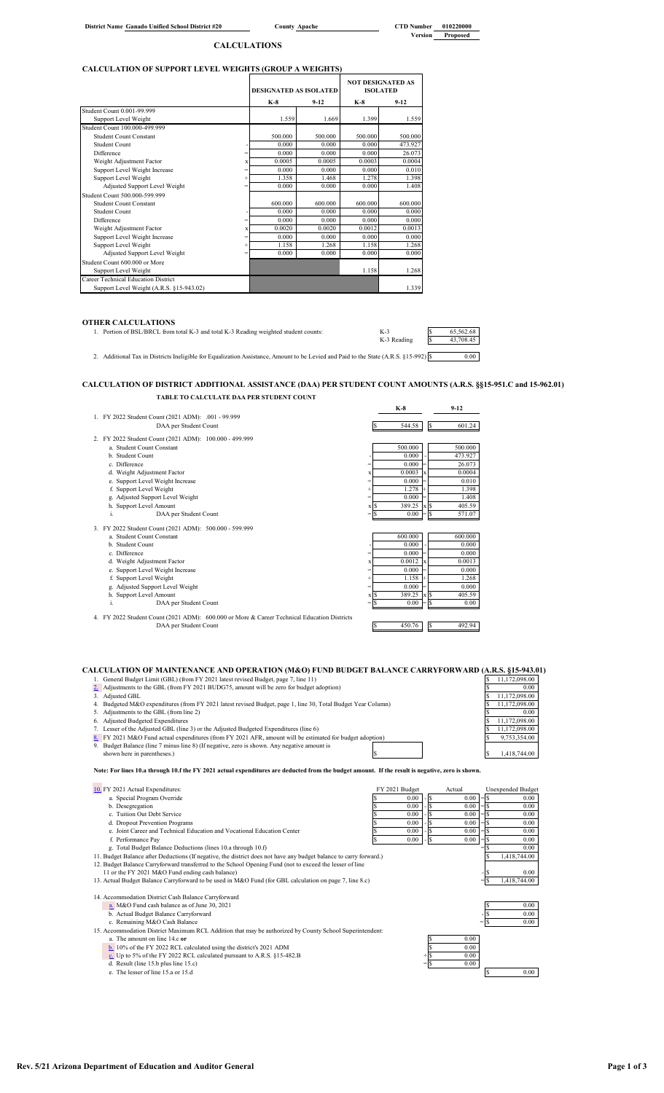**County Apache** 

### **CALCULATIONS**

# **CALCULATION OF SUPPORT LEVEL WEIGHTS (GROUP A WEIGHTS)**

|                                          |           | <b>DESIGNATED AS ISOLATED</b> |         | <b>NOT DESIGNATED AS</b><br><b>ISOLATED</b> |         |
|------------------------------------------|-----------|-------------------------------|---------|---------------------------------------------|---------|
|                                          |           | $K-8$                         | $9-12$  | $K-8$                                       | $9-12$  |
| Student Count 0.001-99.999               |           |                               |         |                                             |         |
| Support Level Weight                     |           | 1.559                         | 1.669   | 1.399                                       | 1.559   |
| Student Count 100.000-499.999            |           |                               |         |                                             |         |
| Student Count Constant                   |           | 500.000                       | 500.000 | 500.000                                     | 500.000 |
| Student Count                            |           | 0.000                         | 0.000   | 0.000                                       | 473.927 |
| Difference                               | $=$       | 0.000                         | 0.000   | 0.000                                       | 26.073  |
| Weight Adjustment Factor                 | X         | 0.0005                        | 0.0005  | 0.0003                                      | 0.0004  |
| Support Level Weight Increase            | $\equiv$  | 0.000                         | 0.000   | 0.000                                       | 0.010   |
| Support Level Weight                     | $\ddot{}$ | 1.358                         | 1.468   | 1.278                                       | 1.398   |
| Adjusted Support Level Weight            | $=$       | 0.000                         | 0.000   | 0.000                                       | 1.408   |
| Student Count 500.000-599.999            |           |                               |         |                                             |         |
| <b>Student Count Constant</b>            |           | 600.000                       | 600.000 | 600.000                                     | 600.000 |
| Student Count                            |           | 0.000                         | 0.000   | 0.000                                       | 0.000   |
| Difference                               | $=$       | 0.000                         | 0.000   | 0.000                                       | 0.000   |
| Weight Adjustment Factor                 | x         | 0.0020                        | 0.0020  | 0.0012                                      | 0.0013  |
| Support Level Weight Increase            | $\equiv$  | 0.000                         | 0.000   | 0.000                                       | 0.000   |
| Support Level Weight                     | $\ddot{}$ | 1.158                         | 1.268   | 1.158                                       | 1.268   |
| Adjusted Support Level Weight            | $=$       | 0.000                         | 0.000   | 0.000                                       | 0.000   |
| Student Count 600,000 or More            |           |                               |         |                                             |         |
| Support Level Weight                     |           |                               |         | 1.158                                       | 1.268   |
| Career Technical Education District      |           |                               |         |                                             |         |
| Support Level Weight (A.R.S. §15-943.02) |           |                               |         |                                             | 1.339   |

## **OTHER CALCULATIONS**

1. Portion of BSL/BRCL from total K-3 and total K-3 Reading weighted student counts: K-3  $K-3$   $K-3$   $K-3$   $K-43$ ,  $K-3$   $K-43$ ,  $K-6$ ,  $K-8$  and total K-3 and total K-3 Reading weighted student counts: K-3<br>K-3 Reading  $\frac{\$}{\$}$ 

2. Additional Tax in Districts Ineligible for Equalization Assistance, Amount to be Levied and Paid to the State (A.R.S. §15-992) \$ 0.00

# **CALCULATION OF DISTRICT ADDITIONAL ASSISTANCE (DAA) PER STUDENT COUNT AMOUNTS (A.R.S. §§15-951.C and 15-962.01) TABLE TO CALCULATE DAA PER STUDENT COUNT**

|                                                                                            |      | $K-8$   |       | $9-12$  |
|--------------------------------------------------------------------------------------------|------|---------|-------|---------|
| 1. FY 2022 Student Count (2021 ADM): .001 - 99.999                                         |      |         |       |         |
| DAA per Student Count                                                                      |      | 544.58  |       | 601.24  |
| 2. FY 2022 Student Count (2021 ADM): 100.000 - 499.999                                     |      |         |       |         |
| a. Student Count Constant                                                                  |      | 500.000 |       | 500.000 |
| b. Student Count                                                                           |      | 0.000   |       | 473.927 |
| c. Difference                                                                              |      | 0.000   |       | 26.073  |
| d. Weight Adjustment Factor                                                                | X    | 0.0003  |       | 0.0004  |
| e. Support Level Weight Increase                                                           |      | 0.000   |       | 0.010   |
| f. Support Level Weight                                                                    |      | 1.278   |       | 1.398   |
| g. Adjusted Support Level Weight                                                           |      | 0.000   |       | 1.408   |
| h. Support Level Amount                                                                    | x S  | 389.25  | $x$ S | 405.59  |
| i.<br>DAA per Student Count                                                                | - Γ  | 0.00    |       | 571.07  |
| 3. FY 2022 Student Count (2021 ADM): 500.000 - 599.999                                     |      |         |       |         |
| a. Student Count Constant                                                                  |      | 600.000 |       | 600.000 |
| b. Student Count                                                                           |      | 0.000   |       | 0.000   |
| c. Difference                                                                              |      | 0.000   |       | 0.000   |
| d. Weight Adjustment Factor                                                                |      | 0.0012  |       | 0.0013  |
| e. Support Level Weight Increase                                                           |      | 0.000   |       | 0.000   |
| f. Support Level Weight                                                                    |      | 1.158   |       | 1.268   |
| g. Adjusted Support Level Weight                                                           | $=$  | 0.000   |       | 0.000   |
| h. Support Level Amount                                                                    | x S  | 389.25  | x S   | 405.59  |
| DAA per Student Count<br>i.                                                                | = IS | 0.00    |       | 0.00    |
| 4 EV 2022 Student Count (2021 ADM): 600.000 or More & Career Technical Education Districts |      |         |       |         |

4. FY 2022 Student Count (2021 ADM): 600.000 or More & Career Technical Education Districts DAA per Student Count \$ 450.76 \$ 492.94

|    | CALCULATION OF MAINTENANCE AND OPERATION (M&O) FUND BUDGET BALANCE CARRYFORWARD (A.R.S. §15-943.01)          |               |  |
|----|--------------------------------------------------------------------------------------------------------------|---------------|--|
|    | General Budget Limit (GBL) (from FY 2021 latest revised Budget, page 7, line 11)                             | 11,172,098.00 |  |
|    | 2. Adjustments to the GBL (from FY 2021 BUDG75, amount will be zero for budget adoption)                     | 0.00          |  |
|    | 3. Adjusted GBL                                                                                              | 11.172.098.00 |  |
|    | 4. Budgeted M&O expenditures (from FY 2021 latest revised Budget, page 1, line 30, Total Budget Year Column) | 11.172.098.00 |  |
|    | 5. Adjustments to the GBL (from line 2)                                                                      | 0.00          |  |
| 6. | Adjusted Budgeted Expenditures                                                                               | 11.172.098.00 |  |
|    | 7. Lesser of the Adjusted GBL (line 3) or the Adjusted Budgeted Expenditures (line 6)                        | 11.172.098.00 |  |
|    | 8. FY 2021 M&O Fund actual expenditures (from FY 2021 AFR, amount will be estimated for budget adoption)     | 9,753,354.00  |  |
|    | 9. Budget Balance (line 7 minus line 8) (If negative, zero is shown. Any negative amount is                  |               |  |
|    | shown here in parentheses.)                                                                                  | 1.418.744.00  |  |

- 
- 

**Note: For lines 10.a through 10.f the FY 2021 actual expenditures are deducted from the budget amount. If the result is negative, zero is shown.**

| 10. FY 2021 Actual Expenditures:                                                                                   | FY 2021 Budget |       | Actual | <b>Unexpended Budget</b> |
|--------------------------------------------------------------------------------------------------------------------|----------------|-------|--------|--------------------------|
| a. Special Program Override                                                                                        | 0.00           |       | 0.00   | 0.00                     |
| b. Desegregation                                                                                                   | 0.00           |       | 0.00   | 0.00                     |
| c. Tuition Out Debt Service                                                                                        | 0.00           |       | 0.00   | 0.00                     |
| d. Dropout Prevention Programs                                                                                     | 0.00           |       | 0.00   | 0.00                     |
| e. Joint Career and Technical Education and Vocational Education Center                                            | 0.00           |       | 0.00   | 0.00                     |
| f. Performance Pay                                                                                                 | 0.00           | -ls   | 0.00   | 0.00                     |
| g. Total Budget Balance Deductions (lines 10.a through 10.f)                                                       |                |       |        | 0.00                     |
| 11. Budget Balance after Deductions (If negative, the district does not have any budget balance to carry forward.) |                |       |        | 1,418,744.00             |
| 12. Budget Balance Carryforward transferred to the School Opening Fund (not to exceed the lesser of line           |                |       |        |                          |
| 11 or the FY 2021 M&O Fund ending cash balance)                                                                    |                |       |        | 0.00                     |
| 13. Actual Budget Balance Carryforward to be used in M&O Fund (for GBL calculation on page 7, line 8.c)            |                |       |        | 1,418,744.00             |
| 14. Accommodation District Cash Balance Carryforward                                                               |                |       |        |                          |
| a. M&O Fund cash balance as of June 30, 2021                                                                       |                |       |        | 0.00                     |
| b. Actual Budget Balance Carryforward                                                                              |                |       |        | 0.00                     |
| c. Remaining M&O Cash Balance                                                                                      |                |       |        | 0.00                     |
| 15. Accommodation District Maximum RCL Addition that may be authorized by County School Superintendent:            |                |       |        |                          |
| a. The amount on line 14.c or                                                                                      |                |       | 0.00   |                          |
| b. 10% of the FY 2022 RCL calculated using the district's 2021 ADM                                                 |                |       | 0.00   |                          |
| c. Up to 5% of the FY 2022 RCL calculated pursuant to A.R.S. §15-482.B                                             |                | $+$ S | 0.00   |                          |
| d. Result (line $15.b$ plus line $15.c$ )                                                                          |                | $=$ S | 0.00   |                          |
| e. The lesser of line 15.a or 15.d                                                                                 |                |       |        | 0.00                     |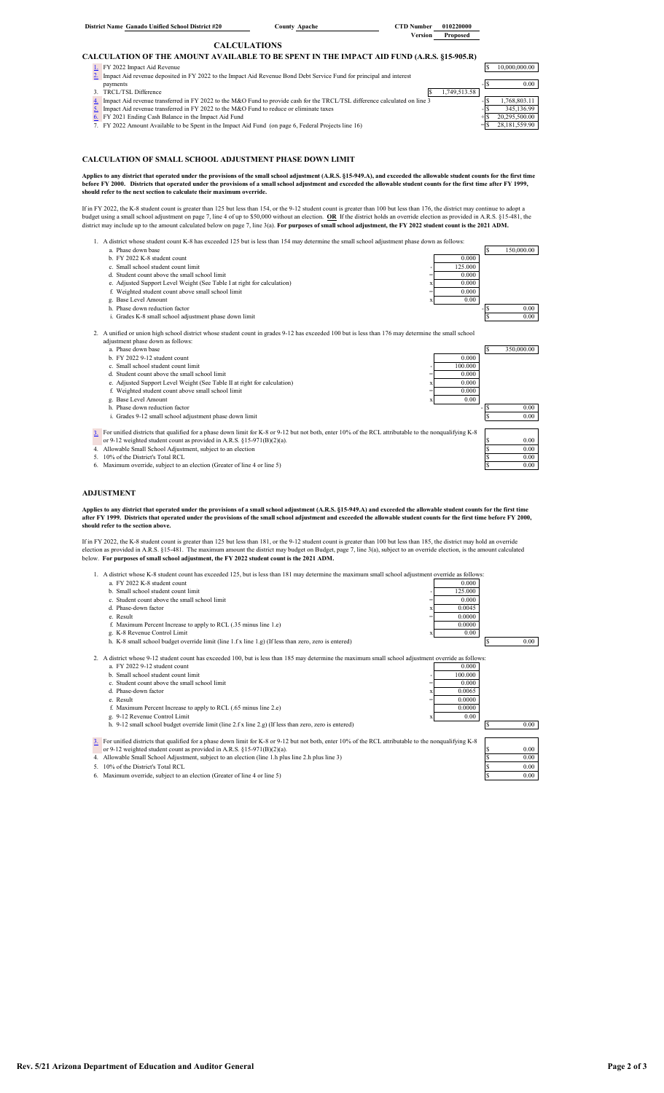| Version<br>Proposed<br><b>CALCULATIONS</b><br>CALCULATION OF THE AMOUNT AVAILABLE TO BE SPENT IN THE IMPACT AID FUND (A.R.S. §15-905.R)<br>1. FY 2022 Impact Aid Revenue<br>10.000.000.00<br>2. Impact Aid revenue deposited in FY 2022 to the Impact Aid Revenue Bond Debt Service Fund for principal and interest<br>0.00<br>payments<br>1,749,513.58<br>3. TRCL/TSL Difference<br>1,768,803.11<br>Impact Aid revenue transferred in FY 2022 to the M&O Fund to provide cash for the TRCL/TSL difference calculated on line 3<br>4.<br>Impact Aid revenue transferred in FY 2022 to the M&O Fund to reduce or eliminate taxes<br>345,136.99<br>20.295.500.00<br>FY 2021 Ending Cash Balance in the Impact Aid Fund<br>6.<br>28,181,559.90<br>7. FY 2022 Amount Available to be Spent in the Impact Aid Fund (on page 6, Federal Projects line 16) | District Name Ganado Unified School District #20 | <b>County Apache</b> | <b>CTD</b> Number | 010220000 |  |
|-----------------------------------------------------------------------------------------------------------------------------------------------------------------------------------------------------------------------------------------------------------------------------------------------------------------------------------------------------------------------------------------------------------------------------------------------------------------------------------------------------------------------------------------------------------------------------------------------------------------------------------------------------------------------------------------------------------------------------------------------------------------------------------------------------------------------------------------------------|--------------------------------------------------|----------------------|-------------------|-----------|--|
|                                                                                                                                                                                                                                                                                                                                                                                                                                                                                                                                                                                                                                                                                                                                                                                                                                                     |                                                  |                      |                   |           |  |
|                                                                                                                                                                                                                                                                                                                                                                                                                                                                                                                                                                                                                                                                                                                                                                                                                                                     |                                                  |                      |                   |           |  |
|                                                                                                                                                                                                                                                                                                                                                                                                                                                                                                                                                                                                                                                                                                                                                                                                                                                     |                                                  |                      |                   |           |  |
|                                                                                                                                                                                                                                                                                                                                                                                                                                                                                                                                                                                                                                                                                                                                                                                                                                                     |                                                  |                      |                   |           |  |
|                                                                                                                                                                                                                                                                                                                                                                                                                                                                                                                                                                                                                                                                                                                                                                                                                                                     |                                                  |                      |                   |           |  |
|                                                                                                                                                                                                                                                                                                                                                                                                                                                                                                                                                                                                                                                                                                                                                                                                                                                     |                                                  |                      |                   |           |  |
|                                                                                                                                                                                                                                                                                                                                                                                                                                                                                                                                                                                                                                                                                                                                                                                                                                                     |                                                  |                      |                   |           |  |
|                                                                                                                                                                                                                                                                                                                                                                                                                                                                                                                                                                                                                                                                                                                                                                                                                                                     |                                                  |                      |                   |           |  |
|                                                                                                                                                                                                                                                                                                                                                                                                                                                                                                                                                                                                                                                                                                                                                                                                                                                     |                                                  |                      |                   |           |  |
|                                                                                                                                                                                                                                                                                                                                                                                                                                                                                                                                                                                                                                                                                                                                                                                                                                                     |                                                  |                      |                   |           |  |
|                                                                                                                                                                                                                                                                                                                                                                                                                                                                                                                                                                                                                                                                                                                                                                                                                                                     |                                                  |                      |                   |           |  |

#### **CALCULATION OF SMALL SCHOOL ADJUSTMENT PHASE DOWN LIMIT**

**Applies to any district that operated under the provisions of the small school adjustment (A.R.S. §15-949.A), and exceeded the allowable student counts for the first time**  before FY 2000. Districts that operated under the provisions of a small school adjustment and exceeded the allowable student counts for the first time after FY 1999,<br>should refer to the next section to calculate their maxi

If in FY 2022, the K-8 student count is greater than 125 but less than 154, or the 9-12 student count is greater than 100 but less than 176, the district may continue to adopt a budget using a small school adjustment on page 7, line 4 of up to \$50,000 without an election. <u>OR</u> If the district holds an override election as provided in A.R.S. §15-481, the<br>district may include up to the amount calc

1. A district whose student count K-8 has exceeded 125 but is less than 154 may determine the small school adjustment phase down as follows:

- a. Phase down base \$ 150,000.00
- b. FY 2022 K-8 student count 0.000
- c. Small school student count limit  $\frac{125,000}{2}$  d. Student count above the small school limit  $\frac{125,000}{2}$
- d. Student count above the small school limit
- e. Adjusted Support Level Weight (See Table I at right for calculation)  $x = 0.000$ <br>f. Weighted student count above small school limit  $y = 0.0000$
- 
- g. Base Level Amount **and Solution Factor** 3 and 3 and 3 and 3 and 3 and 3 and 3 and 3 and 3 and 3 and 3 and 3 and 3 and 3 and 3 and 3 and 3 and 3 and 3 and 3 and 3 and 3 and 3 and 3 and 3 and 3 and 3 and 3 and 3 and 3 and
- i. Grades K-8 small school adjustment phase down limit and the state of the state of the state of the state of the state of the state of the state of the state of the state of the state of the state of the state of the sta

2. A unified or union high school district whose student count in grades 9-12 has exceeded 100 but is less than 176 may determine the small school adjustment phase down as follows:

- 
- a. Phase down base  $\begin{bmatrix} 8 & 350,000.00 \\ 0.000 & 8 \end{bmatrix}$   $\begin{bmatrix} 8 & 350,000.00 \\ 0.000 & 8 \end{bmatrix}$
- 
- 
- c. Small school student count limit  $d$ . Student count limit  $d$  and  $d$  and  $d$  and  $d$  and  $d$  and  $d$  and  $d$  at right (See Table II at right for calculation)  $x = 0.000$   $x = 0.000$ f. Weighted student count above small school limit  $= 0.000$ g. Base Level Amount actor and the state of the state of the state of the state of the state of the state of the state of the state of the state of the state of the state of the state of the state of the state of the state
- 

For unified districts that qualified for a phase down limit for K-8 or 9-12 but not both, enter 10% of the RCL attributable to the nonqualifying K-8 or 9-12 weighted student count as provided in A.R.S. §15-971(B)(2)(a).

4. Allowable Small School Adjustment, subject to an election \$ 0.00

- $10\%$  of the District's Total RCL  $\frac{\$}{\$}$  0.000<br>Maximum override subject to an election (Greater of line 4 or line 5)
- m override, subject to an election (Greater of line 4 or line 5)

#### **ADJUSTMENT**

[3.](#page-14-8)

Applies to any district that operated under the provisions of a small school adjustment (A.R.S. §15-949.A) and exceeded the allowable student counts for the first time<br>after FY 1999. Districts that operated under the provi

If in FY 2022, the K-8 student count is greater than 125 but less than 181, or the 9-12 student count is greater than 100 but less than 185, the district may hold an override<br>election as provided in A.R.S. §15-481. The max



6. Maximum override, subject to an election (Greater of line 4 or line 5)

 $0.00$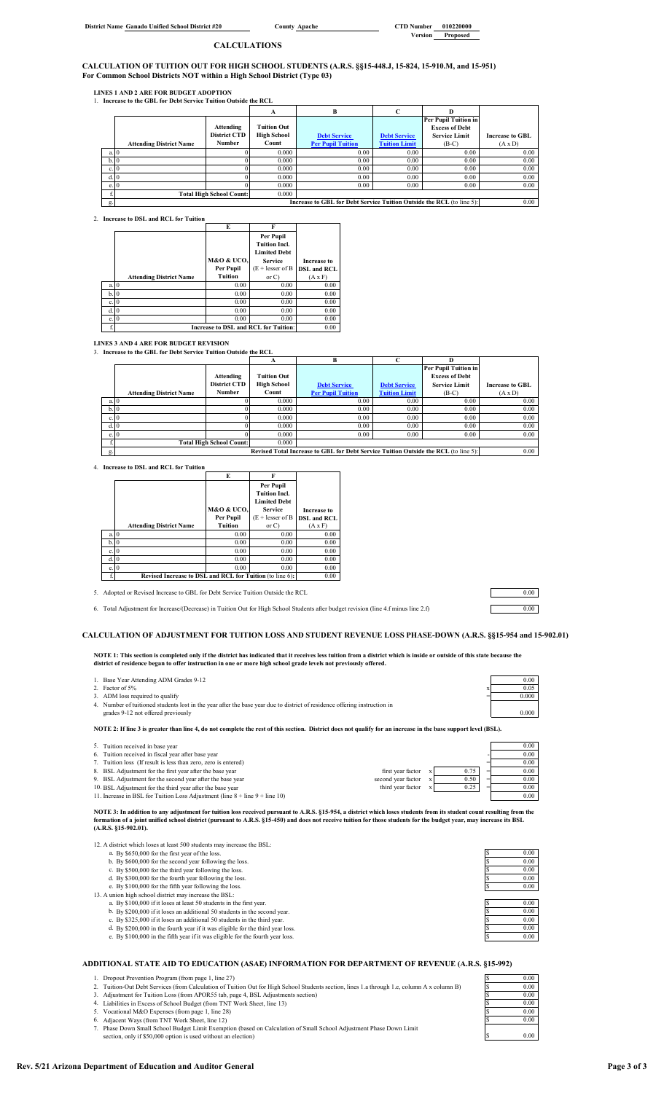**District Name Ganado Unified School District #20** 

**County Apache** CTD Number 010220000<br>Version Proposed **Version Proposed**

### **CALCULATIONS**

**CALCULATION OF TUITION OUT FOR HIGH SCHOOL STUDENTS (A.R.S. §§15-448.J, 15-824, 15-910.M, and 15-951) For Common School Districts NOT within a High School District (Type 03)**

**LINES 1 AND 2 ARE FOR BUDGET ADOPTION** 1. **Increase to the GBL for Debt Service Tuition Outside the RCL**

|       |                                |                                 | A                  | В                                                                     |                      | D                     |                        |  |
|-------|--------------------------------|---------------------------------|--------------------|-----------------------------------------------------------------------|----------------------|-----------------------|------------------------|--|
|       |                                |                                 |                    |                                                                       |                      | Per Pupil Tuition in  |                        |  |
|       |                                | Attending                       | <b>Tuition Out</b> |                                                                       |                      | <b>Excess of Debt</b> |                        |  |
|       |                                | <b>District CTD</b>             | <b>High School</b> | <b>Debt Service</b>                                                   | <b>Debt Service</b>  | <b>Service Limit</b>  | <b>Increase to GBL</b> |  |
|       | <b>Attending District Name</b> | Number                          | Count              | <b>Per Pupil Tuition</b>                                              | <b>Tuition Limit</b> | $(B-C)$               | $(A \times D)$         |  |
| a. 10 |                                |                                 | 0.000              | 0.00                                                                  | 0.00                 | 0.00                  | 0.00                   |  |
| b.0   |                                |                                 | 0.000              | 0.00                                                                  | 0.00                 | 0.00                  | 0.00                   |  |
| c. 0  |                                |                                 | 0.000              | 0.00                                                                  | 0.00                 | 0.00                  | 0.00                   |  |
| d. 10 |                                |                                 | 0.000              | 0.00                                                                  | 0.00                 | 0.00                  | 0.00                   |  |
| e. 0  |                                |                                 | 0.000              | 0.00                                                                  | 0.00                 | 0.00                  | 0.00                   |  |
|       |                                | <b>Total High School Count:</b> | 0.000              |                                                                       |                      |                       |                        |  |
| g.    |                                |                                 |                    | Increase to GBL for Debt Service Tuition Outside the RCL (to line 5): |                      |                       | 0.00                   |  |

2. **Increase to DSL and RCL for Tuition**

|    |                                | E              | F                                           |                    |
|----|--------------------------------|----------------|---------------------------------------------|--------------------|
|    |                                |                | Per Pupil                                   |                    |
|    |                                |                | <b>Tuition Incl.</b>                        |                    |
|    |                                |                | <b>Limited Debt</b>                         |                    |
|    |                                | M&O & UCO.     | <b>Service</b>                              | <b>Increase to</b> |
|    |                                | Per Pupil      | $(E + \text{ lesser of } B)$                | <b>DSL and RCL</b> |
|    | <b>Attending District Name</b> | <b>Tuition</b> | or C                                        | $(A \times F)$     |
| a. | $\Omega$                       | 0.00           | 0.00                                        | 0.00               |
| b. | $\overline{0}$                 | 0.00           | 0.00                                        | 0.00               |
| c. | $\overline{0}$                 | 0.00           | 0.00                                        | 0.00               |
| d. | 10                             | 0.00           | 0.00                                        | 0.00               |
| e. | 10                             | 0.00           | 0.00                                        | 0.00               |
|    |                                |                | <b>Increase to DSL and RCL for Tuition:</b> | 0.00               |

**LINES 3 AND 4 ARE FOR BUDGET REVISION** 3. **Increase to the GBL for Debt Service Tuition Outside the RCL**

|      |                                |                                 |                    | B                                                                                   |                      |                             |                        |
|------|--------------------------------|---------------------------------|--------------------|-------------------------------------------------------------------------------------|----------------------|-----------------------------|------------------------|
|      |                                |                                 |                    |                                                                                     |                      | <b>Per Pupil Tuition in</b> |                        |
|      |                                | Attending                       | <b>Tuition Out</b> |                                                                                     |                      | <b>Excess of Debt</b>       |                        |
|      |                                | <b>District CTD</b>             | <b>High School</b> | <b>Debt Service</b>                                                                 | <b>Debt Service</b>  | <b>Service Limit</b>        | <b>Increase to GBL</b> |
|      | <b>Attending District Name</b> | Number                          | Count              | <b>Per Pupil Tuition</b>                                                            | <b>Tuition Limit</b> | $(B-C)$                     | $(A \times D)$         |
| a. 0 |                                |                                 | 0.000              | 0.00                                                                                | 0.00                 | 0.00                        | 0.00                   |
| b.0  |                                |                                 | 0.000              | 0.00                                                                                | 0.00                 | 0.00                        | 0.00                   |
| c.0  |                                |                                 | 0.000              | 0.00                                                                                | 0.00                 | 0.00                        | 0.00                   |
| d. 0 |                                |                                 | 0.000              | 0.00                                                                                | 0.00                 | 0.00                        | 0.00                   |
| e. 0 |                                |                                 | 0.000              | 0.00                                                                                | 0.00                 | 0.00                        | 0.00                   |
|      |                                | <b>Total High School Count:</b> | 0.000              |                                                                                     |                      |                             |                        |
| g.   |                                |                                 |                    | Revised Total Increase to GBL for Debt Service Tuition Outside the RCL (to line 5): |                      |                             | 0.00                   |

4. **Increase to DSL and RCL for Tuition**

|    |                                                          | E          |                      |                    |
|----|----------------------------------------------------------|------------|----------------------|--------------------|
|    |                                                          |            | Per Pupil            |                    |
|    |                                                          |            | <b>Tuition Incl.</b> |                    |
|    |                                                          |            | <b>Limited Debt</b>  |                    |
|    |                                                          | M&O & UCO. | <b>Service</b>       | <b>Increase to</b> |
|    |                                                          | Per Pupil  | $(E + lesser of B)$  | <b>DSL</b> and RCL |
|    | <b>Attending District Name</b>                           | Tuition    | or C                 | $(A \times F)$     |
| a. |                                                          | 0.00       | 0.00                 | 0.00               |
| b. |                                                          | 0.00       | 0.00                 | 0.00               |
| c. |                                                          | 0.00       | 0.00                 | 0.00               |
|    |                                                          | 0.00       | 0.00                 | 0.00               |
| e. |                                                          | 0.00       | 0.00                 | 0.00               |
| f. | Revised Increase to DSL and RCL for Tuition (to line 6): |            |                      | 0.00               |

5. Adopted or Revised Increase to GBL for Debt Service Tuition Outside the RCL 0.00

6. Total Adjustment for Increase/(Decrease) in Tuition Out for High School Students after budget revision (line 4.f minus line 2.f) 0.00

**CALCULATION OF ADJUSTMENT FOR TUITION LOSS AND STUDENT REVENUE LOSS PHASE-DOWN (A.R.S. §§15-954 and 15-902.01)**

NOTE 1: This section is completed only if the district has indicated that it receives less tuition from a district which is inside or outside of this state because the<br>district of residence began to offer instruction in on

| 1. Base Year Attending ADM Grades 9-12                                                                                    | $0.00 -$ |
|---------------------------------------------------------------------------------------------------------------------------|----------|
| 2. Factor of 5%                                                                                                           | 0.05     |
| 3. ADM loss required to qualify                                                                                           | 0.000    |
| 4. Number of tuitioned students lost in the year after the base year due to district of residence offering instruction in |          |
| grades 9-12 not offered previously                                                                                        | 0.000    |
|                                                                                                                           |          |

**NOTE 2: If line 3 is greater than line 4, do not complete the rest of this section. District does not qualify for an increase in the base support level (BSL).**

# 5. Tuition received in base year 0.00

- Tuition received in fiscal year after base year
- 
- 8. BSL Adjustment for the first year after the base year first year factor x 0.75 = 0.00 9. BSL Adjustment for the second year after the base year second year factor x 0.50 = 0.00

Tuition loss (If result is less than zero, zero is entered)<br>
BSL Adjustment for the first year after the base year<br>
BSL Adjustment for the second year after the base year<br>
BSL Adjustment for the third year after the base 10. BSL Adjustment for the third year after the base year third year factor  $x = 0.25$  = 0.00<br>11. Increase in BSL for Tuition Loss Adjustment (line 8 + line 9 + line 10) 0.00

11. Increase in BSL for Tuition Loss Adjustment (line  $8 +$  line  $9 +$  line  $10)$ 

NOTE 3: In addition to any adjustment for tuition loss received pursuant to A.R.S. §15-954, a district which loses students from its student count resulting from the<br>formation of a joint unified school district (pursuant t **(A.R.S. §15-902.01).** 

12. A district which loses at least 500 students may increase the BSL:<br>
a. By \$650,000 for the first year of the loss.<br>
b. By \$600,000 for the second year following the loss.<br>
\$ 0.00

- 
- 
- 
- c. By \$500,000 for the third year following the loss.<br>d. By \$300,000 for the fourth year following the loss.<br>e. By \$100,000 for the fifth year following the loss.<br>\$ 0.00
- 
- 13. A union high school district may increase the BSL:<br>
a. By \$100,000 if it loses at least 50 students in the first year.<br>
b. By \$200,000 if it loses an additional 50 students in the second year. <br>
§ 0.00
	-
	-
	- c. By \$325,000 if it loses an additional 50 students in the third year.<br>
	d. By \$200,000 in the fourth year if it was eligible for the third year loss.<br>
	e. By \$100,000 in the fifth year if it was eligible for the fourth ye

### **ADDITIONAL STATE AID TO EDUCATION (ASAE) INFORMATION FOR DEPARTMENT OF REVENUE (A.R.S. §15-992)**

- 1. Dropout Prevention Program (from page 1, line 27)<br>
2. Tution-Out Debt Services (from Calculation of Tution Out for High School Students section, lines 1.a through 1.e, column A x column B)<br>
3. Adjustment for Tution Los
- 
- 
- 
- 
- section, only if \$50,000 option is used without an election)
- 

| S  | 0.00 |
|----|------|
| Ŝ  | 0.00 |
| Ŝ  | 0.00 |
| \$ | 0.00 |
| S  | 0.00 |
|    |      |
| \$ | 0.00 |
| \$ | 0.00 |
| Ŝ  | 0.00 |
| \$ | 0.00 |
| Ś  | 0.00 |

\$ 0.00

| 0.00            |
|-----------------|
| 0.05            |
| 000<br>$\cdots$ |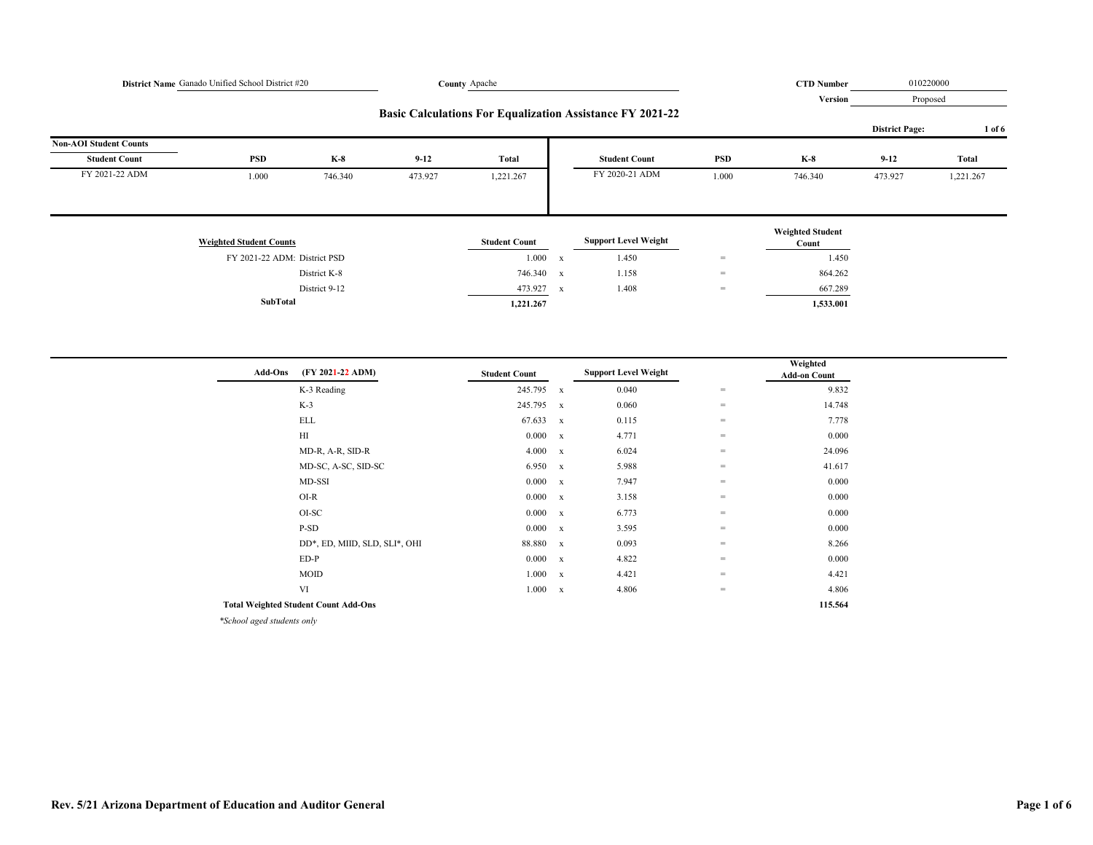| District Name Ganado Unified School District #20<br>County Apache |                                |                  |          |                      |             | <b>CTD Number</b>                                                | 010220000                         |                                  |                       |              |
|-------------------------------------------------------------------|--------------------------------|------------------|----------|----------------------|-------------|------------------------------------------------------------------|-----------------------------------|----------------------------------|-----------------------|--------------|
|                                                                   |                                |                  |          |                      |             | <b>Version</b>                                                   | Proposed                          |                                  |                       |              |
|                                                                   |                                |                  |          |                      |             | <b>Basic Calculations For Equalization Assistance FY 2021-22</b> |                                   |                                  | <b>District Page:</b> | 1 of 6       |
| <b>Non-AOI Student Counts</b>                                     |                                |                  |          |                      |             |                                                                  |                                   |                                  |                       |              |
| <b>Student Count</b>                                              | PSD                            | $K-8$            | $9 - 12$ | Total                |             | <b>Student Count</b>                                             | <b>PSD</b>                        | $K-8$                            | $9 - 12$              | <b>Total</b> |
| FY 2021-22 ADM                                                    | 1.000                          | 746.340          | 473.927  | 1,221.267            |             | FY 2020-21 ADM                                                   | 1.000                             | 746.340                          | 473.927               | 1,221.267    |
|                                                                   |                                |                  |          |                      |             |                                                                  |                                   |                                  |                       |              |
|                                                                   | <b>Weighted Student Counts</b> |                  |          | <b>Student Count</b> |             | <b>Support Level Weight</b>                                      |                                   | <b>Weighted Student</b><br>Count |                       |              |
|                                                                   | FY 2021-22 ADM: District PSD   |                  |          | $1.000 - x$          |             | 1.450                                                            | $\hspace{1.6cm} = \hspace{1.6cm}$ | 1.450                            |                       |              |
|                                                                   |                                | District K-8     |          | 746.340 x            |             | 1.158                                                            | $\hspace{1.6cm} = \hspace{1.6cm}$ | 864.262                          |                       |              |
|                                                                   |                                | District 9-12    |          | 473.927              |             | 1.408                                                            | $\hspace{1.6cm} = \hspace{1.6cm}$ | 667.289                          |                       |              |
|                                                                   | SubTotal                       |                  |          | 1,221.267            | $\mathbf x$ |                                                                  |                                   | 1,533.001                        |                       |              |
|                                                                   |                                |                  |          |                      |             |                                                                  |                                   |                                  |                       |              |
|                                                                   |                                |                  |          |                      |             |                                                                  |                                   |                                  |                       |              |
|                                                                   | <b>Add-Ons</b>                 | (FY 2021-22 ADM) |          | <b>Student Count</b> |             | <b>Support Level Weight</b>                                      |                                   | Weighted<br><b>Add-on Count</b>  |                       |              |
|                                                                   |                                | K-3 Reading      |          | 245.795 x            |             | 0.040                                                            | $\hspace{0.1cm} = \hspace{0.1cm}$ | 9.832                            |                       |              |
|                                                                   |                                | $K-3$            |          | 245.795 x            |             | 0.060                                                            | $\hspace{1.6cm} = \hspace{1.6cm}$ | 14.748                           |                       |              |
|                                                                   |                                | <b>ELL</b>       |          | 67.633 x             |             | 0.115                                                            | $\hspace{0.1in} = \hspace{0.1in}$ | 7.778                            |                       |              |
|                                                                   |                                | H                |          | 0.000 x              |             | 4.771                                                            | $\hspace{1.6cm} = \hspace{1.6cm}$ | 0.000                            |                       |              |
|                                                                   |                                | MD-R, A-R, SID-R |          | $4.000 \times x$     |             | 6.024                                                            | $\hspace{1.6cm} = \hspace{1.6cm}$ | 24.096                           |                       |              |

|                                             | MD-SC, A-SC, SID-SC           | 6.950  | $\mathbf{x}$ | 5.988 | $=$ | 41.617 |  |
|---------------------------------------------|-------------------------------|--------|--------------|-------|-----|--------|--|
|                                             | MD-SSI                        | 0.000  | $\mathbf{x}$ | 7.947 | $=$ | 0.000  |  |
|                                             | $O I - R$                     | 0.000  | $\mathbf{x}$ | 3.158 | $=$ | 0.000  |  |
|                                             | OI-SC                         | 0.000  | $\mathbf{x}$ | 6.773 | $=$ | 0.000  |  |
|                                             | P-SD                          | 0.000  | $\mathbf{x}$ | 3.595 | $=$ | 0.000  |  |
|                                             | DD*, ED, MIID, SLD, SLI*, OHI | 88.880 | $\mathbf{x}$ | 0.093 | =   | 8.266  |  |
|                                             | $ED-P$                        | 0.000  | $\mathbf{x}$ | 4.822 | $=$ | 0.000  |  |
|                                             | <b>MOID</b>                   | 1.000  | $\mathbf{x}$ | 4.421 | $=$ | 4.421  |  |
|                                             | VI                            | 1.000  | $\mathbf{x}$ | 4.806 | $=$ | 4.806  |  |
| <b>Total Weighted Student Count Add-Ons</b> |                               |        |              |       |     |        |  |
|                                             |                               |        |              |       |     |        |  |

*\*School aged students only*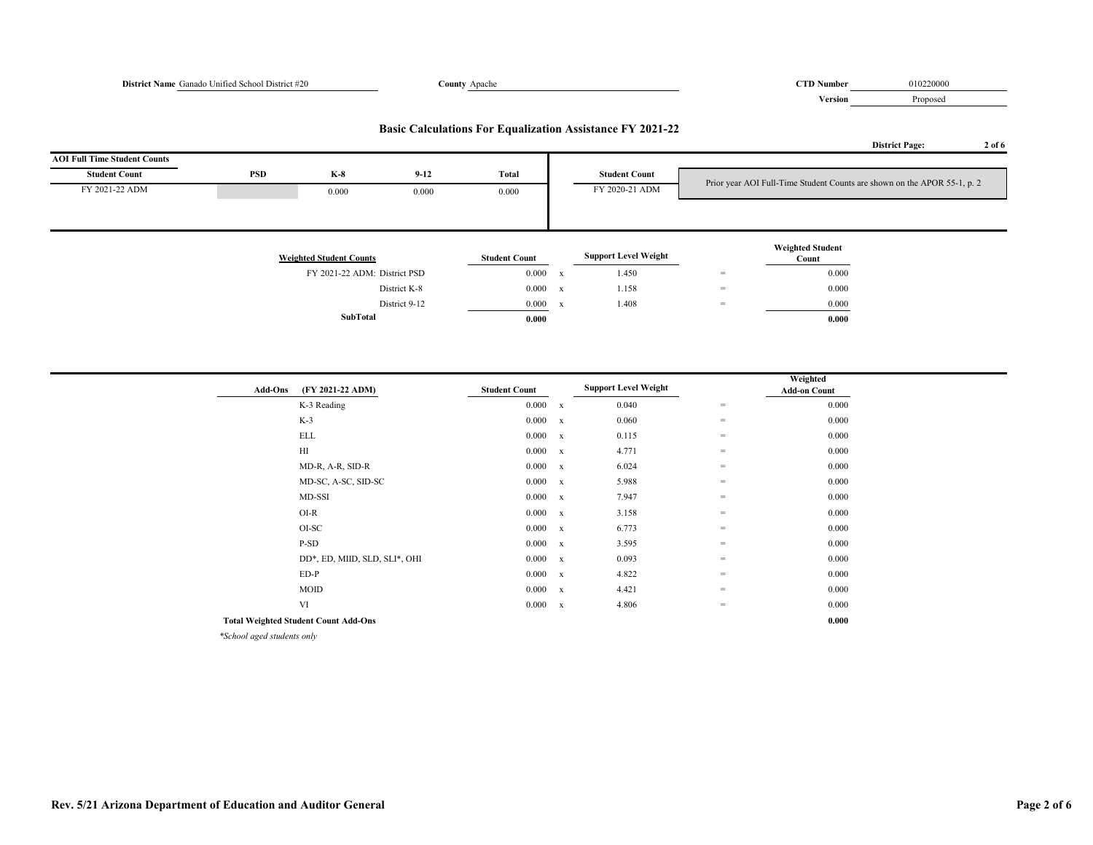# **District Name** Ganado Unified School District #20 **County** Apache **COUNTY Apache COUNTY Apache COUNTY Apache COUNTY Apache COUNTY Apache COUNTY Apache COUNTY Apache COUNTY Apache COUNTY Apache COUNTY Apa Version** Proposed **District Page: 2 of 6 AOI Full Time Student Counts Student Count PSD K-8 9-12 Total Student Count** FY 2021-22 ADM 0.000 0.000 0.000 FY 2020-21 ADM **Weighted Student Counts Student Count Support Level Weight Weighted Student Count** FY 2021-22 ADM: District PSD 0.000 x 1.450 = 0.000 0.000 m District K-8 0.000 x  $1.158$  = 0.000 District 9-12 0.000 x 1.408 = 0.000 **SubTotal 0.000 0.000 Basic Calculations For Equalization Assistance FY 2021-22** Prior year AOI Full-Time Student Counts are shown on the APOR 55-1, p. 2

| <b>Add-Ons</b>                                      | (FY 2021-22 ADM)                            | <b>Student Count</b> |             | <b>Support Level Weight</b> |     | Weighted<br><b>Add-on Count</b> |
|-----------------------------------------------------|---------------------------------------------|----------------------|-------------|-----------------------------|-----|---------------------------------|
|                                                     | K-3 Reading                                 | 0.000                | $\mathbf x$ | 0.040                       | $=$ | 0.000                           |
|                                                     | $K-3$                                       | $0.000 \times x$     |             | 0.060                       | $=$ | 0.000                           |
|                                                     | <b>ELL</b>                                  | $0.000 \times x$     |             | 0.115                       | $=$ | 0.000                           |
|                                                     | $\mathop{\rm HI}\nolimits$                  | $0.000 \times x$     |             | 4.771                       | $=$ | 0.000                           |
|                                                     | MD-R, A-R, SID-R                            | $0.000 \times x$     |             | 6.024                       | $=$ | 0.000                           |
|                                                     | MD-SC, A-SC, SID-SC                         | 0.000 x              |             | 5.988                       | $=$ | 0.000                           |
|                                                     | MD-SSI                                      | 0.000 x              |             | 7.947                       | $=$ | 0.000                           |
|                                                     | $O I-R$                                     | 0.000 x              |             | 3.158                       | $=$ | 0.000                           |
|                                                     | OI-SC                                       | 0.000 x              |             | 6.773                       | $=$ | 0.000                           |
|                                                     | P-SD                                        | 0.000 x              |             | 3.595                       | $=$ | 0.000                           |
|                                                     | DD*, ED, MIID, SLD, SLI*, OHI               | $0.000 \times x$     |             | 0.093                       | $=$ | 0.000                           |
|                                                     | $ED-P$                                      | $0.000 \times x$     |             | 4.822                       | $=$ | 0.000                           |
|                                                     | MOID                                        | $0.000 \times x$     |             | 4.421                       | $=$ | 0.000                           |
|                                                     | VI                                          | 0.000 x              |             | 4.806                       | $=$ | 0.000                           |
|                                                     | <b>Total Weighted Student Count Add-Ons</b> |                      |             |                             |     | 0.000                           |
| $\omega \sim 1$ $\omega$ $\sim 1$ $\omega$ $\sim 1$ |                                             |                      |             |                             |     |                                 |

*\*School aged students only*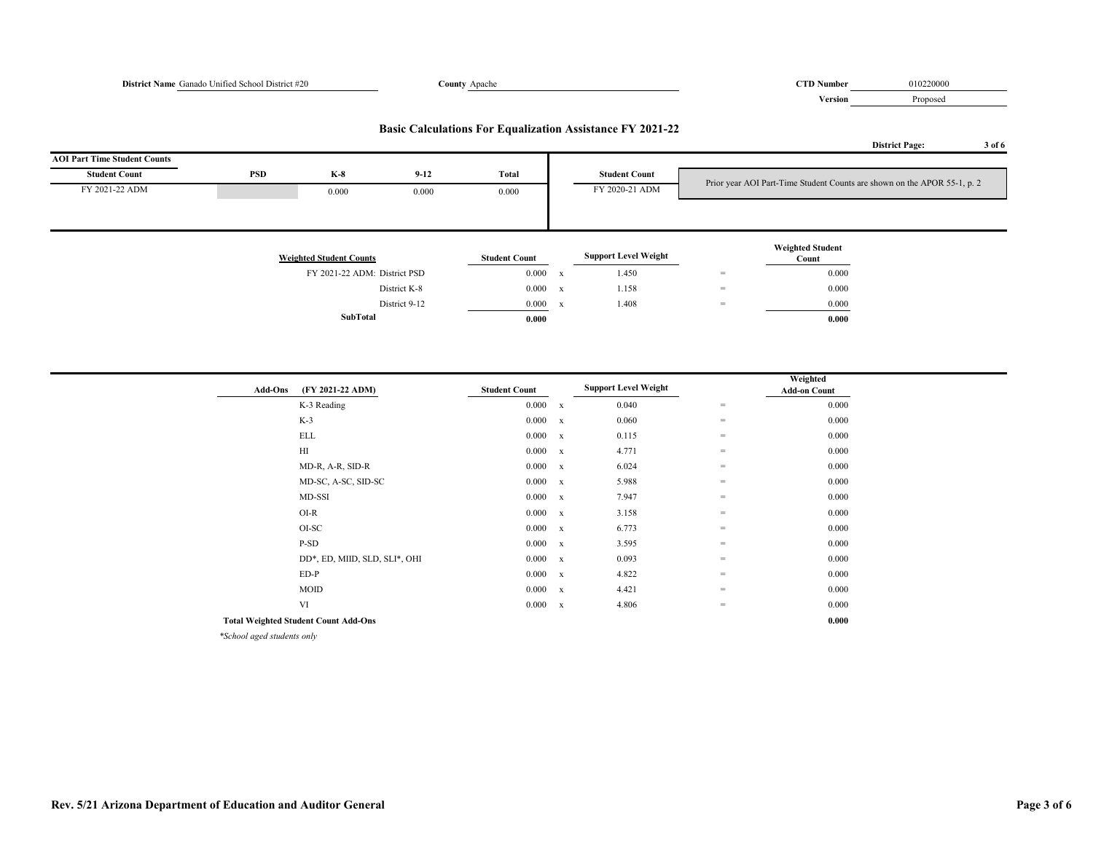# **District Name** Ganado Unified School District #20 **County** Apache **COUNTY Apache COUNTY Apache COUNTY Apache COUNTY Apache COUNTY Apache COUNTY Apache COUNTY Apache COUNTY Apache COUNTY Apache COUNTY Apa Version** Proposed **District Page: 3 of 6 AOI Part Time Student Counts Student Count PSD K-8 9-12 Total Student Count** FY 2021-22 ADM 0.000 0.000 0.000 FY 2020-21 ADM **Weighted Student Counts Student Count Support Level Weight Weighted Student Count** FY 2021-22 ADM: District PSD 0.000 x 1.450 = 0.000 0.000 m District K-8 0.000 x  $1.158$  = 0.000 District 9-12 0.000 x 1.408 = 0.000 **SubTotal 0.000 0.000 Basic Calculations For Equalization Assistance FY 2021-22** Prior year AOI Part-Time Student Counts are shown on the APOR 55-1, p. 2

| <b>Add-Ons</b>                           | (FY 2021-22 ADM)                            | <b>Student Count</b> |              | <b>Support Level Weight</b> |     | Weighted<br><b>Add-on Count</b> |
|------------------------------------------|---------------------------------------------|----------------------|--------------|-----------------------------|-----|---------------------------------|
|                                          | K-3 Reading                                 | 0.000                |              | 0.040                       | $=$ | 0.000                           |
|                                          |                                             |                      | $\mathbf{x}$ |                             |     |                                 |
|                                          | $K-3$                                       | $0.000 \times x$     |              | 0.060                       | $=$ | 0.000                           |
|                                          | <b>ELL</b>                                  | $0.000 \times x$     |              | 0.115                       | $=$ | 0.000                           |
|                                          | H                                           | $0.000 \quad x$      |              | 4.771                       | $=$ | 0.000                           |
|                                          | MD-R, A-R, SID-R                            | $0.000 \times x$     |              | 6.024                       | $=$ | 0.000                           |
|                                          | MD-SC, A-SC, SID-SC                         | $0.000 \times x$     |              | 5.988                       | $=$ | 0.000                           |
|                                          | MD-SSI                                      | $0.000 \times x$     |              | 7.947                       | $=$ | 0.000                           |
|                                          | $O I-R$                                     | $0.000 \times x$     |              | 3.158                       | $=$ | 0.000                           |
|                                          | OI-SC                                       | $0.000 \times x$     |              | 6.773                       | $=$ | 0.000                           |
|                                          | P-SD                                        | $0.000 \quad x$      |              | 3.595                       | $=$ | 0.000                           |
|                                          | DD*, ED, MIID, SLD, SLI*, OHI               | $0.000 \quad x$      |              | 0.093                       | $=$ | 0.000                           |
|                                          | $ED-P$                                      | $0.000 \times x$     |              | 4.822                       | $=$ | 0.000                           |
|                                          | MOID                                        | 0.000 x              |              | 4.421                       | $=$ | 0.000                           |
|                                          | VI                                          | 0.000                | $\mathbf{x}$ | 4.806                       | $=$ | 0.000                           |
|                                          | <b>Total Weighted Student Count Add-Ons</b> |                      |              |                             |     | 0.000                           |
| $*C_1L_2 - I_3 = -J_4 + J_5 + J_6 + J_7$ |                                             |                      |              |                             |     |                                 |

*\*School aged students only*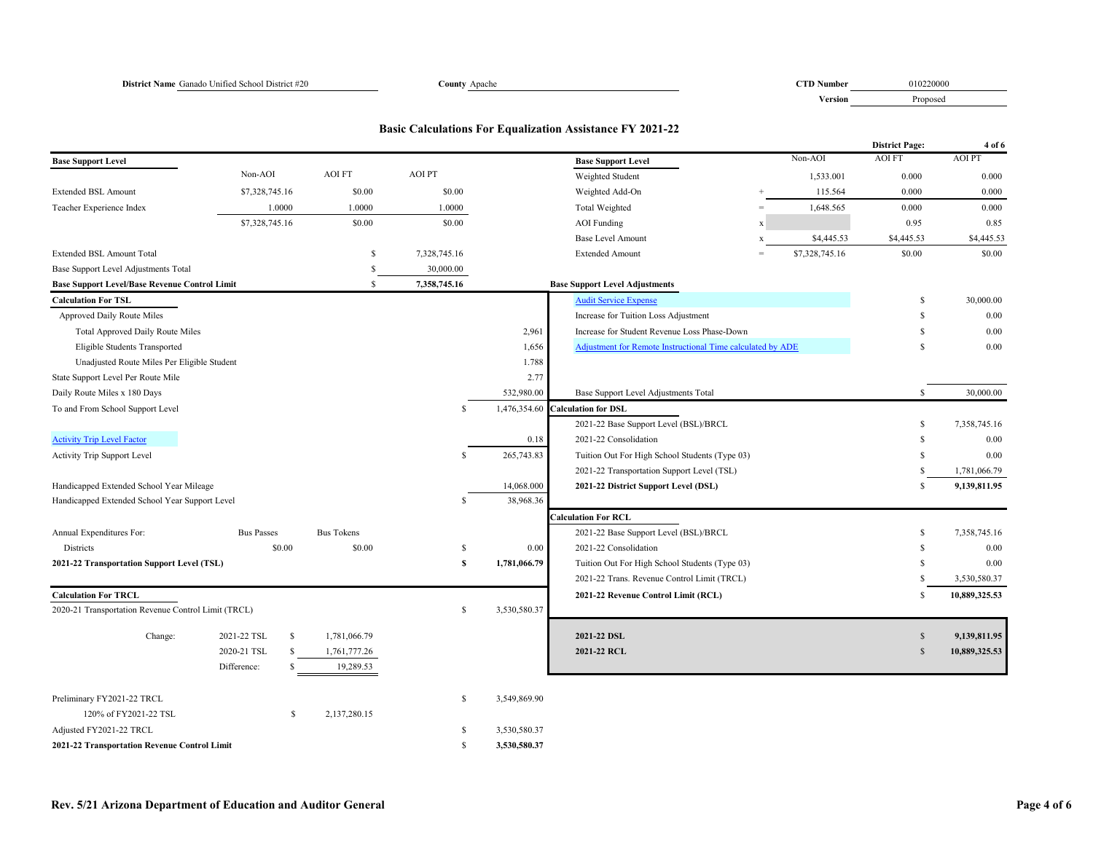**Version** Proposed

# **Basic Calculations For Equalization Assistance FY 2021-22**

|                                                      |                   |                   |               |              |                                                            |             |                | <b>District Page:</b> | 4 of 6        |
|------------------------------------------------------|-------------------|-------------------|---------------|--------------|------------------------------------------------------------|-------------|----------------|-----------------------|---------------|
| <b>Base Support Level</b>                            |                   |                   |               |              | <b>Base Support Level</b>                                  |             | Non-AOI        | <b>AOI FT</b>         | <b>AOIPT</b>  |
|                                                      | Non-AOI           | <b>AOI FT</b>     | <b>AOI PT</b> |              | Weighted Student                                           |             | 1,533.001      | 0.000                 | 0.000         |
| <b>Extended BSL Amount</b>                           | \$7,328,745.16    | \$0.00            | \$0.00        |              | Weighted Add-On                                            |             | 115.564        | 0.000                 | 0.000         |
| Teacher Experience Index                             | 1.0000            | 1.0000            | 1.0000        |              | Total Weighted                                             | $=$         | 1,648.565      | 0.000                 | 0.000         |
|                                                      | \$7,328,745.16    | \$0.00            | \$0.00        |              | <b>AOI</b> Funding                                         | $\mathbf x$ |                | 0.95                  | 0.85          |
|                                                      |                   |                   |               |              | <b>Base Level Amount</b>                                   | $\mathbf x$ | \$4,445.53     | \$4,445.53            | \$4,445.53    |
| Extended BSL Amount Total                            |                   | S                 | 7,328,745.16  |              | <b>Extended Amount</b>                                     | $=$         | \$7,328,745.16 | \$0.00                | \$0.00        |
| Base Support Level Adjustments Total                 |                   | -S                | 30,000.00     |              |                                                            |             |                |                       |               |
| <b>Base Support Level/Base Revenue Control Limit</b> |                   | S                 | 7,358,745.16  |              | <b>Base Support Level Adjustments</b>                      |             |                |                       |               |
| <b>Calculation For TSL</b>                           |                   |                   |               |              | <b>Audit Service Expense</b>                               |             |                | S                     | 30,000.00     |
| Approved Daily Route Miles                           |                   |                   |               |              | Increase for Tuition Loss Adjustment                       |             |                | S                     | 0.00          |
| Total Approved Daily Route Miles                     |                   |                   |               | 2,961        | Increase for Student Revenue Loss Phase-Down               |             |                | S                     | 0.00          |
| Eligible Students Transported                        |                   |                   |               | 1,656        | Adjustment for Remote Instructional Time calculated by ADE |             |                | \$.                   | 0.00          |
| Unadjusted Route Miles Per Eligible Student          |                   |                   |               | 1.788        |                                                            |             |                |                       |               |
| State Support Level Per Route Mile                   |                   |                   |               | 2.77         |                                                            |             |                |                       |               |
| Daily Route Miles x 180 Days                         |                   |                   |               | 532,980.00   | Base Support Level Adjustments Total                       |             |                | $\mathbf S$           | 30,000.00     |
| To and From School Support Level                     |                   |                   | -S            |              | 1,476,354.60 Calculation for DSL                           |             |                |                       |               |
|                                                      |                   |                   |               |              | 2021-22 Base Support Level (BSL)/BRCL                      |             |                | S                     | 7,358,745.16  |
| <b>Activity Trip Level Factor</b>                    |                   |                   |               | 0.18         | 2021-22 Consolidation                                      |             |                | S                     | 0.00          |
| Activity Trip Support Level                          |                   |                   | S             | 265,743.83   | Tuition Out For High School Students (Type 03)             |             |                | S                     | 0.00          |
|                                                      |                   |                   |               |              | 2021-22 Transportation Support Level (TSL)                 |             |                | $\mathbb{S}$          | 1,781,066.79  |
| Handicapped Extended School Year Mileage             |                   |                   |               | 14,068.000   | 2021-22 District Support Level (DSL)                       |             |                | S.                    | 9,139,811.95  |
| Handicapped Extended School Year Support Level       |                   |                   | S             | 38,968.36    |                                                            |             |                |                       |               |
|                                                      |                   |                   |               |              | <b>Calculation For RCL</b>                                 |             |                |                       |               |
| Annual Expenditures For:                             | <b>Bus Passes</b> | <b>Bus Tokens</b> |               |              | 2021-22 Base Support Level (BSL)/BRCL                      |             |                | \$                    | 7,358,745.16  |
| Districts                                            | \$0.00            | \$0.00            | \$            | 0.00         | 2021-22 Consolidation                                      |             |                | S                     | 0.00          |
| 2021-22 Transportation Support Level (TSL)           |                   |                   | s             | 1,781,066.79 | Tuition Out For High School Students (Type 03)             |             |                | S.                    | 0.00          |
|                                                      |                   |                   |               |              | 2021-22 Trans. Revenue Control Limit (TRCL)                |             |                | S                     | 3,530,580.37  |
| <b>Calculation For TRCL</b>                          |                   |                   |               |              | 2021-22 Revenue Control Limit (RCL)                        |             |                | S                     | 10,889,325.53 |
| 2020-21 Transportation Revenue Control Limit (TRCL)  |                   |                   | \$            | 3,530,580.37 |                                                            |             |                |                       |               |
| Change:                                              | 2021-22 TSL<br>\$ | 1,781,066.79      |               |              | 2021-22 DSL                                                |             |                | $\mathbb{S}$          | 9,139,811.95  |
|                                                      | 2020-21 TSL<br>\$ | 1,761,777.26      |               |              | 2021-22 RCL                                                |             |                | $\mathbf S$           | 10,889,325.53 |
|                                                      | Difference:<br>S  | 19,289.53         |               |              |                                                            |             |                |                       |               |
|                                                      |                   |                   |               |              |                                                            |             |                |                       |               |
| Preliminary FY2021-22 TRCL                           |                   |                   | \$            | 3,549,869.90 |                                                            |             |                |                       |               |
| 120% of FY2021-22 TSL                                | <sup>\$</sup>     | 2,137,280.15      |               |              |                                                            |             |                |                       |               |
| Adjusted FY2021-22 TRCL                              |                   |                   | S             | 3,530,580.37 |                                                            |             |                |                       |               |
| 2021-22 Transportation Revenue Control Limit         |                   |                   | £.            | 3,530,580.37 |                                                            |             |                |                       |               |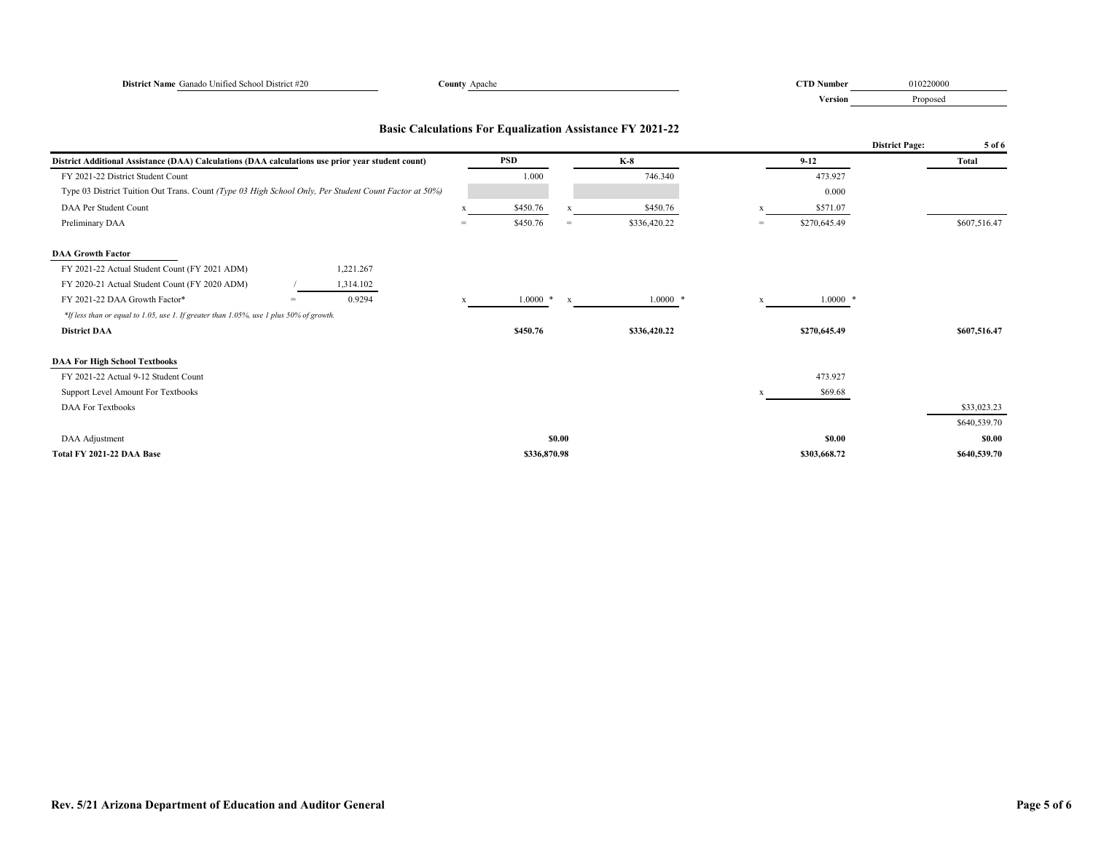| District Name Ganado Unified School District #20                                                      | County Apache |              |              |                                                                  |     | <b>CTD Number</b> | 010220000             |              |
|-------------------------------------------------------------------------------------------------------|---------------|--------------|--------------|------------------------------------------------------------------|-----|-------------------|-----------------------|--------------|
|                                                                                                       |               |              |              |                                                                  |     | Version           | Proposed              |              |
|                                                                                                       |               |              |              | <b>Basic Calculations For Equalization Assistance FY 2021-22</b> |     |                   |                       |              |
|                                                                                                       |               |              |              |                                                                  |     |                   | <b>District Page:</b> | 5 of 6       |
| District Additional Assistance (DAA) Calculations (DAA calculations use prior year student count)     |               | <b>PSD</b>   |              | $K-8$                                                            |     | $9 - 12$          |                       | <b>Total</b> |
| FY 2021-22 District Student Count                                                                     |               | 1.000        |              | 746.340                                                          |     | 473.927           |                       |              |
| Type 03 District Tuition Out Trans. Count (Type 03 High School Only, Per Student Count Factor at 50%) |               |              |              |                                                                  |     | 0.000             |                       |              |
| DAA Per Student Count                                                                                 | X             | \$450.76     | $\mathbf{x}$ | \$450.76                                                         | X   | \$571.07          |                       |              |
| Preliminary DAA                                                                                       | $=$           | \$450.76     | $=$          | \$336,420.22                                                     | $=$ | \$270,645.49      |                       | \$607,516.47 |
| <b>DAA Growth Factor</b>                                                                              |               |              |              |                                                                  |     |                   |                       |              |
| FY 2021-22 Actual Student Count (FY 2021 ADM)<br>1,221.267                                            |               |              |              |                                                                  |     |                   |                       |              |
| FY 2020-21 Actual Student Count (FY 2020 ADM)<br>1,314.102                                            |               |              |              |                                                                  |     |                   |                       |              |
| FY 2021-22 DAA Growth Factor*<br>0.9294<br>$=$                                                        | X             | $1.0000$ *   | $\mathbf x$  | $1.0000$ *                                                       | x   | $1.0000$ *        |                       |              |
| *If less than or equal to 1.05, use 1. If greater than 1.05%, use 1 plus 50% of growth.               |               |              |              |                                                                  |     |                   |                       |              |
| <b>District DAA</b>                                                                                   |               | \$450.76     |              | \$336,420.22                                                     |     | \$270,645.49      |                       | \$607,516.47 |
| <b>DAA For High School Textbooks</b>                                                                  |               |              |              |                                                                  |     |                   |                       |              |
| FY 2021-22 Actual 9-12 Student Count                                                                  |               |              |              |                                                                  |     | 473.927           |                       |              |
| Support Level Amount For Textbooks                                                                    |               |              |              |                                                                  | X   | \$69.68           |                       |              |
| <b>DAA For Textbooks</b>                                                                              |               |              |              |                                                                  |     |                   |                       | \$33,023.23  |
|                                                                                                       |               |              |              |                                                                  |     |                   |                       | \$640,539.70 |
| DAA Adjustment                                                                                        |               |              | \$0.00       |                                                                  |     | <b>SO.00</b>      |                       | \$0.00       |
| Total FY 2021-22 DAA Base                                                                             |               | \$336,870.98 |              |                                                                  |     | \$303,668.72      |                       | \$640,539.70 |